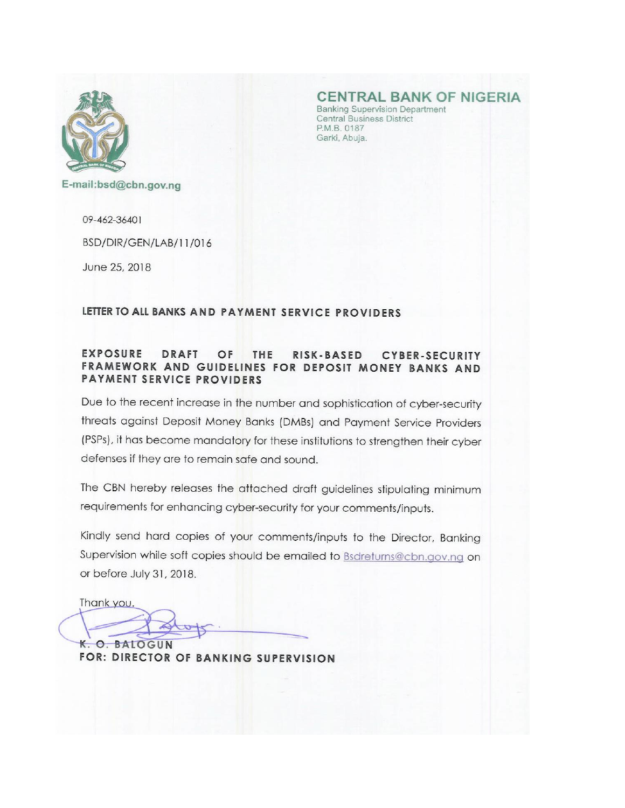

**CENTRAL BANK OF NIGERIA** 

**Banking Supervision Department Central Business District** P.M.B. 0187 Garki, Abuja.

E-mail:bsd@cbn.gov.ng

09-462-36401

BSD/DIR/GEN/LAB/11/016

June 25, 2018

### LETTER TO ALL BANKS AND PAYMENT SERVICE PROVIDERS

#### **EXPOSURE DRAFT** OF THE RISK-BASED CYBER-SECURITY FRAMEWORK AND GUIDELINES FOR DEPOSIT MONEY BANKS AND **PAYMENT SERVICE PROVIDERS**

Due to the recent increase in the number and sophistication of cyber-security threats against Deposit Money Banks (DMBs) and Payment Service Providers (PSPs), it has become mandatory for these institutions to strengthen their cyber defenses if they are to remain safe and sound.

The CBN hereby releases the attached draft guidelines stipulating minimum requirements for enhancing cyber-security for your comments/inputs.

Kindly send hard copies of your comments/inputs to the Director, Banking Supervision while soft copies should be emailed to **Bsdreturns@cbn.gov.ng** on or before July 31, 2018.

Thank you.

K. O. BALOGUN

FOR: DIRECTOR OF BANKING SUPERVISION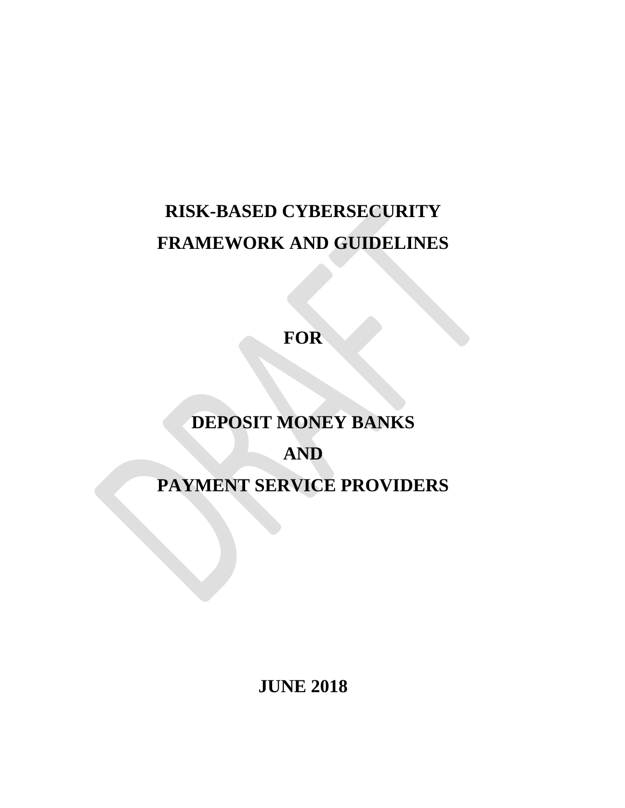# **RISK-BASED CYBERSECURITY FRAMEWORK AND GUIDELINES**

**FOR**

## **DEPOSIT MONEY BANKS**

## **AND**

**PAYMENT SERVICE PROVIDERS**

**JUNE 2018**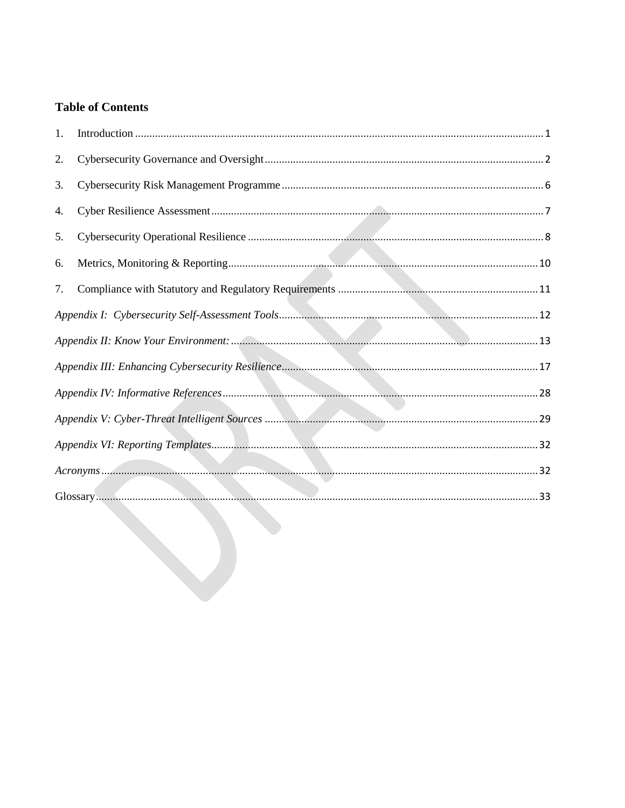### **Table of Contents**

| 1. |  |  |
|----|--|--|
| 2. |  |  |
| 3. |  |  |
| 4. |  |  |
| 5. |  |  |
| 6. |  |  |
| 7. |  |  |
|    |  |  |
|    |  |  |
|    |  |  |
|    |  |  |
|    |  |  |
|    |  |  |
|    |  |  |
|    |  |  |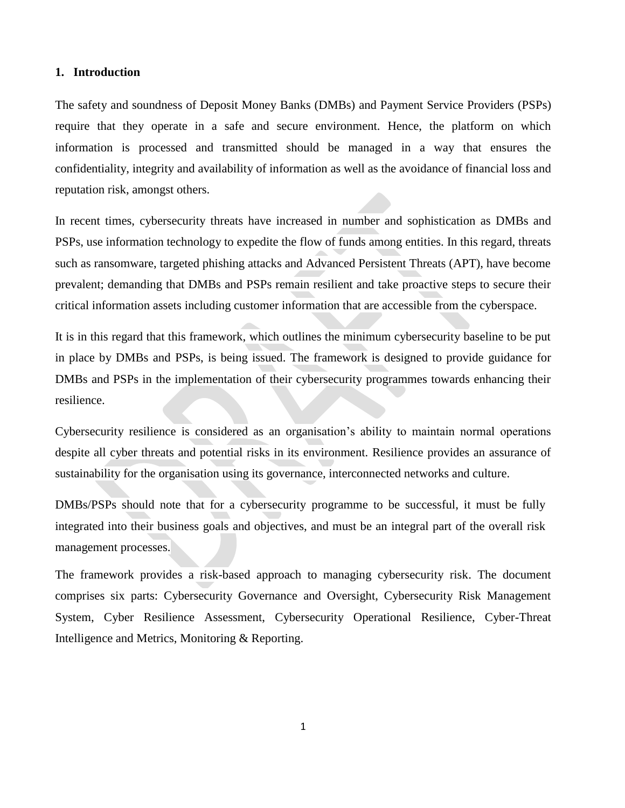#### <span id="page-3-0"></span>**1. Introduction**

The safety and soundness of Deposit Money Banks (DMBs) and Payment Service Providers (PSPs) require that they operate in a safe and secure environment. Hence, the platform on which information is processed and transmitted should be managed in a way that ensures the confidentiality, integrity and availability of information as well as the avoidance of financial loss and reputation risk, amongst others.

In recent times, cybersecurity threats have increased in number and sophistication as DMBs and PSPs, use information technology to expedite the flow of funds among entities. In this regard, threats such as ransomware, targeted phishing attacks and Advanced Persistent Threats (APT), have become prevalent; demanding that DMBs and PSPs remain resilient and take proactive steps to secure their critical information assets including customer information that are accessible from the cyberspace.

It is in this regard that this framework, which outlines the minimum cybersecurity baseline to be put in place by DMBs and PSPs, is being issued. The framework is designed to provide guidance for DMBs and PSPs in the implementation of their cybersecurity programmes towards enhancing their resilience.

Cybersecurity resilience is considered as an organisation"s ability to maintain normal operations despite all cyber threats and potential risks in its environment. Resilience provides an assurance of sustainability for the organisation using its governance, interconnected networks and culture.

DMBs/PSPs should note that for a cybersecurity programme to be successful, it must be fully integrated into their business goals and objectives, and must be an integral part of the overall risk management processes.

The framework provides a risk-based approach to managing cybersecurity risk. The document comprises six parts: Cybersecurity Governance and Oversight, Cybersecurity Risk Management System, Cyber Resilience Assessment, Cybersecurity Operational Resilience, Cyber-Threat Intelligence and Metrics, Monitoring & Reporting.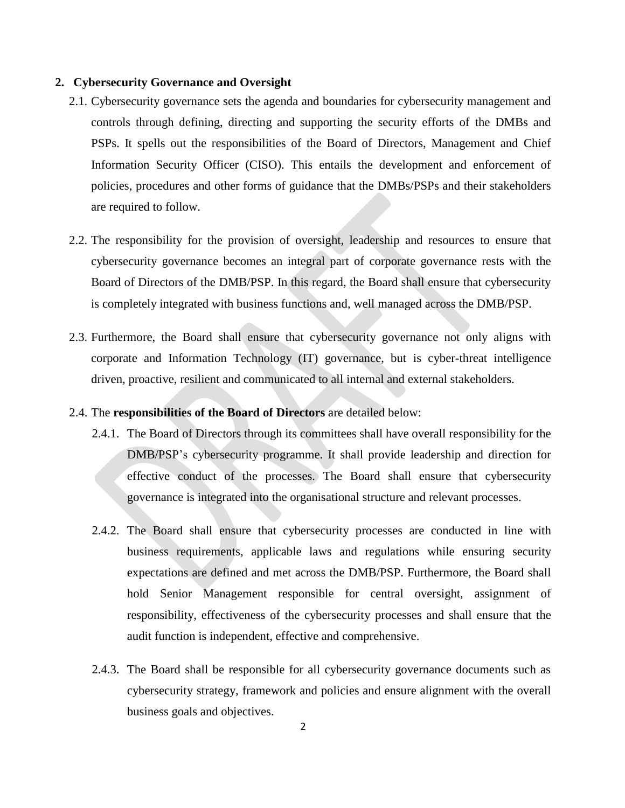#### <span id="page-4-0"></span>**2. Cybersecurity Governance and Oversight**

- 2.1. Cybersecurity governance sets the agenda and boundaries for cybersecurity management and controls through defining, directing and supporting the security efforts of the DMBs and PSPs. It spells out the responsibilities of the Board of Directors, Management and Chief Information Security Officer (CISO). This entails the development and enforcement of policies, procedures and other forms of guidance that the DMBs/PSPs and their stakeholders are required to follow.
- 2.2. The responsibility for the provision of oversight, leadership and resources to ensure that cybersecurity governance becomes an integral part of corporate governance rests with the Board of Directors of the DMB/PSP. In this regard, the Board shall ensure that cybersecurity is completely integrated with business functions and, well managed across the DMB/PSP.
- 2.3. Furthermore, the Board shall ensure that cybersecurity governance not only aligns with corporate and Information Technology (IT) governance, but is cyber-threat intelligence driven, proactive, resilient and communicated to all internal and external stakeholders.
- 2.4. The **responsibilities of the Board of Directors** are detailed below:
	- 2.4.1. The Board of Directors through its committees shall have overall responsibility for the DMB/PSP"s cybersecurity programme. It shall provide leadership and direction for effective conduct of the processes. The Board shall ensure that cybersecurity governance is integrated into the organisational structure and relevant processes.
	- 2.4.2. The Board shall ensure that cybersecurity processes are conducted in line with business requirements, applicable laws and regulations while ensuring security expectations are defined and met across the DMB/PSP. Furthermore, the Board shall hold Senior Management responsible for central oversight, assignment of responsibility, effectiveness of the cybersecurity processes and shall ensure that the audit function is independent, effective and comprehensive.
	- 2.4.3. The Board shall be responsible for all cybersecurity governance documents such as cybersecurity strategy, framework and policies and ensure alignment with the overall business goals and objectives.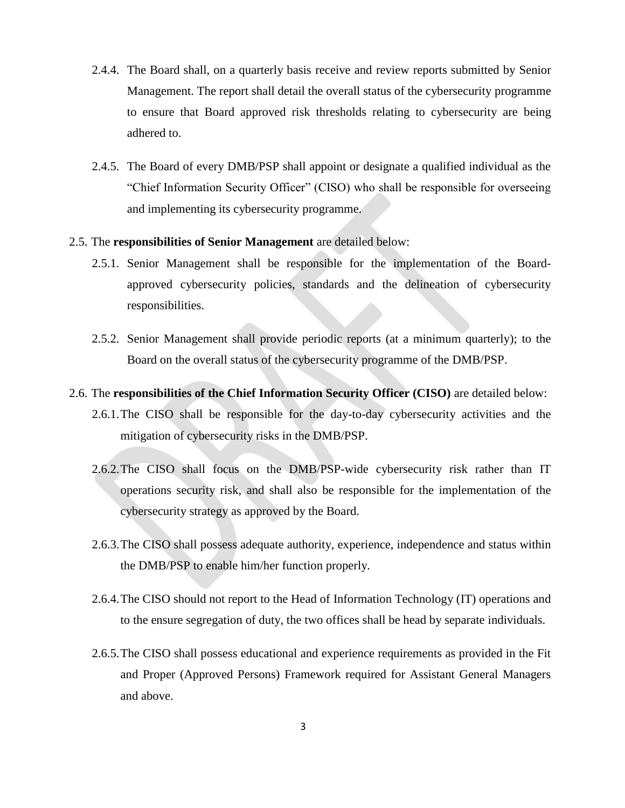- 2.4.4. The Board shall, on a quarterly basis receive and review reports submitted by Senior Management. The report shall detail the overall status of the cybersecurity programme to ensure that Board approved risk thresholds relating to cybersecurity are being adhered to.
- 2.4.5. The Board of every DMB/PSP shall appoint or designate a qualified individual as the "Chief Information Security Officer" (CISO) who shall be responsible for overseeing and implementing its cybersecurity programme.

#### 2.5. The **responsibilities of Senior Management** are detailed below:

- 2.5.1. Senior Management shall be responsible for the implementation of the Boardapproved cybersecurity policies, standards and the delineation of cybersecurity responsibilities.
- 2.5.2. Senior Management shall provide periodic reports (at a minimum quarterly); to the Board on the overall status of the cybersecurity programme of the DMB/PSP.

#### 2.6. The **responsibilities of the Chief Information Security Officer (CISO)** are detailed below:

- 2.6.1.The CISO shall be responsible for the day-to-day cybersecurity activities and the mitigation of cybersecurity risks in the DMB/PSP.
- 2.6.2.The CISO shall focus on the DMB/PSP-wide cybersecurity risk rather than IT operations security risk, and shall also be responsible for the implementation of the cybersecurity strategy as approved by the Board.
- 2.6.3.The CISO shall possess adequate authority, experience, independence and status within the DMB/PSP to enable him/her function properly.
- 2.6.4.The CISO should not report to the Head of Information Technology (IT) operations and to the ensure segregation of duty, the two offices shall be head by separate individuals.
- 2.6.5.The CISO shall possess educational and experience requirements as provided in the Fit and Proper (Approved Persons) Framework required for Assistant General Managers and above.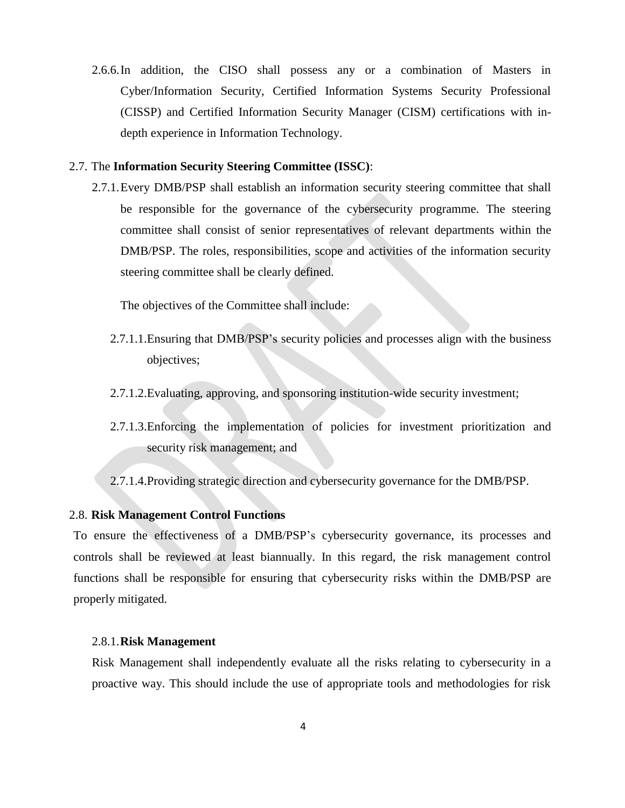2.6.6.In addition, the CISO shall possess any or a combination of Masters in Cyber/Information Security, Certified Information Systems Security Professional (CISSP) and Certified Information Security Manager (CISM) certifications with indepth experience in Information Technology.

#### 2.7. The **Information Security Steering Committee (ISSC)**:

2.7.1.Every DMB/PSP shall establish an information security steering committee that shall be responsible for the governance of the cybersecurity programme. The steering committee shall consist of senior representatives of relevant departments within the DMB/PSP. The roles, responsibilities, scope and activities of the information security steering committee shall be clearly defined.

The objectives of the Committee shall include:

- 2.7.1.1.Ensuring that DMB/PSP"s security policies and processes align with the business objectives;
- 2.7.1.2.Evaluating, approving, and sponsoring institution-wide security investment;
- 2.7.1.3.Enforcing the implementation of policies for investment prioritization and security risk management; and
- 2.7.1.4.Providing strategic direction and cybersecurity governance for the DMB/PSP.

#### 2.8. **Risk Management Control Functions**

To ensure the effectiveness of a DMB/PSP"s cybersecurity governance, its processes and controls shall be reviewed at least biannually. In this regard, the risk management control functions shall be responsible for ensuring that cybersecurity risks within the DMB/PSP are properly mitigated.

#### 2.8.1.**Risk Management**

Risk Management shall independently evaluate all the risks relating to cybersecurity in a proactive way. This should include the use of appropriate tools and methodologies for risk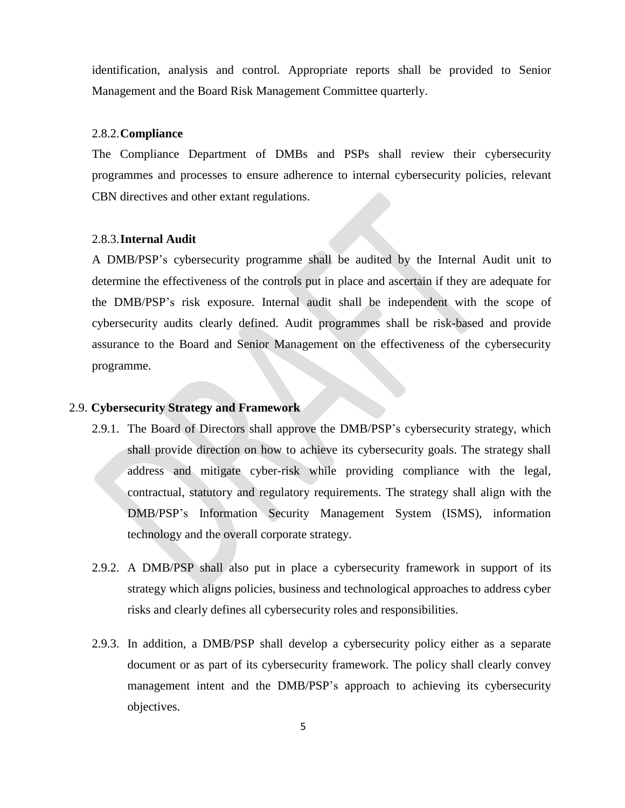identification, analysis and control. Appropriate reports shall be provided to Senior Management and the Board Risk Management Committee quarterly.

#### 2.8.2.**Compliance**

The Compliance Department of DMBs and PSPs shall review their cybersecurity programmes and processes to ensure adherence to internal cybersecurity policies, relevant CBN directives and other extant regulations.

#### 2.8.3.**Internal Audit**

A DMB/PSP"s cybersecurity programme shall be audited by the Internal Audit unit to determine the effectiveness of the controls put in place and ascertain if they are adequate for the DMB/PSP"s risk exposure. Internal audit shall be independent with the scope of cybersecurity audits clearly defined. Audit programmes shall be risk-based and provide assurance to the Board and Senior Management on the effectiveness of the cybersecurity programme.

#### 2.9. **Cybersecurity Strategy and Framework**

- 2.9.1. The Board of Directors shall approve the DMB/PSP"s cybersecurity strategy, which shall provide direction on how to achieve its cybersecurity goals. The strategy shall address and mitigate cyber-risk while providing compliance with the legal, contractual, statutory and regulatory requirements. The strategy shall align with the DMB/PSP"s Information Security Management System (ISMS), information technology and the overall corporate strategy.
- 2.9.2. A DMB/PSP shall also put in place a cybersecurity framework in support of its strategy which aligns policies, business and technological approaches to address cyber risks and clearly defines all cybersecurity roles and responsibilities.
- 2.9.3. In addition, a DMB/PSP shall develop a cybersecurity policy either as a separate document or as part of its cybersecurity framework. The policy shall clearly convey management intent and the DMB/PSP"s approach to achieving its cybersecurity objectives.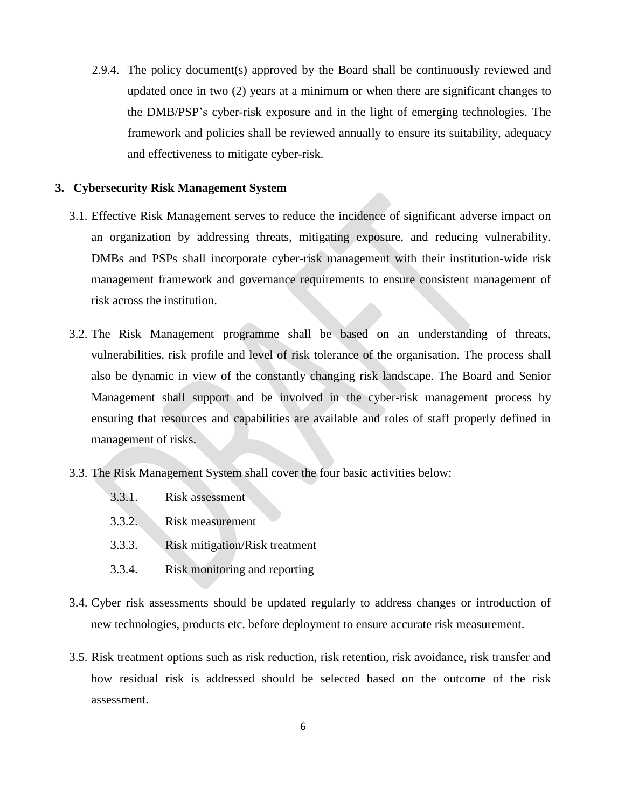2.9.4. The policy document(s) approved by the Board shall be continuously reviewed and updated once in two (2) years at a minimum or when there are significant changes to the DMB/PSP"s cyber-risk exposure and in the light of emerging technologies. The framework and policies shall be reviewed annually to ensure its suitability, adequacy and effectiveness to mitigate cyber-risk.

#### <span id="page-8-0"></span>**3. Cybersecurity Risk Management System**

- 3.1. Effective Risk Management serves to reduce the incidence of significant adverse impact on an organization by addressing threats, mitigating exposure, and reducing vulnerability. DMBs and PSPs shall incorporate cyber-risk management with their institution-wide risk management framework and governance requirements to ensure consistent management of risk across the institution.
- 3.2. The Risk Management programme shall be based on an understanding of threats, vulnerabilities, risk profile and level of risk tolerance of the organisation. The process shall also be dynamic in view of the constantly changing risk landscape. The Board and Senior Management shall support and be involved in the cyber-risk management process by ensuring that resources and capabilities are available and roles of staff properly defined in management of risks.
- 3.3. The Risk Management System shall cover the four basic activities below:
	- 3.3.1. Risk assessment
	- 3.3.2. Risk measurement
	- 3.3.3. Risk mitigation/Risk treatment
	- 3.3.4. Risk monitoring and reporting
- 3.4. Cyber risk assessments should be updated regularly to address changes or introduction of new technologies, products etc. before deployment to ensure accurate risk measurement.
- 3.5. Risk treatment options such as risk reduction, risk retention, risk avoidance, risk transfer and how residual risk is addressed should be selected based on the outcome of the risk assessment.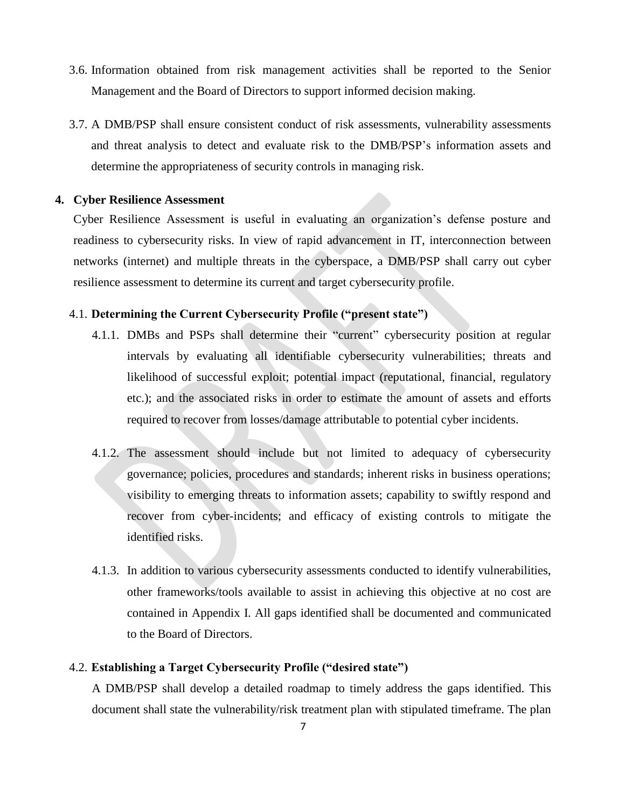- 3.6. Information obtained from risk management activities shall be reported to the Senior Management and the Board of Directors to support informed decision making.
- 3.7. A DMB/PSP shall ensure consistent conduct of risk assessments, vulnerability assessments and threat analysis to detect and evaluate risk to the DMB/PSP"s information assets and determine the appropriateness of security controls in managing risk.

#### <span id="page-9-0"></span>**4. Cyber Resilience Assessment**

Cyber Resilience Assessment is useful in evaluating an organization"s defense posture and readiness to cybersecurity risks. In view of rapid advancement in IT, interconnection between networks (internet) and multiple threats in the cyberspace, a DMB/PSP shall carry out cyber resilience assessment to determine its current and target cybersecurity profile.

#### 4.1. **Determining the Current Cybersecurity Profile ("present state")**

- 4.1.1. DMBs and PSPs shall determine their "current" cybersecurity position at regular intervals by evaluating all identifiable cybersecurity vulnerabilities; threats and likelihood of successful exploit; potential impact (reputational, financial, regulatory etc.); and the associated risks in order to estimate the amount of assets and efforts required to recover from losses/damage attributable to potential cyber incidents.
- 4.1.2. The assessment should include but not limited to adequacy of cybersecurity governance; policies, procedures and standards; inherent risks in business operations; visibility to emerging threats to information assets; capability to swiftly respond and recover from cyber-incidents; and efficacy of existing controls to mitigate the identified risks.
- 4.1.3. In addition to various cybersecurity assessments conducted to identify vulnerabilities, other frameworks/tools available to assist in achieving this objective at no cost are contained in Appendix I. All gaps identified shall be documented and communicated to the Board of Directors.

#### 4.2. **Establishing a Target Cybersecurity Profile ("desired state")**

A DMB/PSP shall develop a detailed roadmap to timely address the gaps identified. This document shall state the vulnerability/risk treatment plan with stipulated timeframe. The plan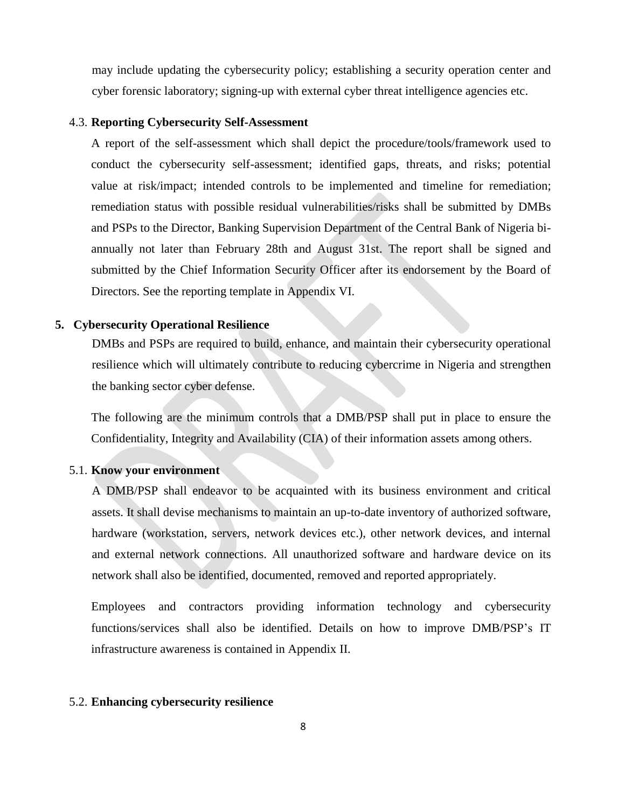may include updating the cybersecurity policy; establishing a security operation center and cyber forensic laboratory; signing-up with external cyber threat intelligence agencies etc.

#### 4.3. **Reporting Cybersecurity Self-Assessment**

A report of the self-assessment which shall depict the procedure/tools/framework used to conduct the cybersecurity self-assessment; identified gaps, threats, and risks; potential value at risk/impact; intended controls to be implemented and timeline for remediation; remediation status with possible residual vulnerabilities/risks shall be submitted by DMBs and PSPs to the Director, Banking Supervision Department of the Central Bank of Nigeria biannually not later than February 28th and August 31st. The report shall be signed and submitted by the Chief Information Security Officer after its endorsement by the Board of Directors. See the reporting template in Appendix VI.

#### <span id="page-10-0"></span>**5. Cybersecurity Operational Resilience**

DMBs and PSPs are required to build, enhance, and maintain their cybersecurity operational resilience which will ultimately contribute to reducing cybercrime in Nigeria and strengthen the banking sector cyber defense.

The following are the minimum controls that a DMB/PSP shall put in place to ensure the Confidentiality, Integrity and Availability (CIA) of their information assets among others.

#### 5.1. **Know your environment**

A DMB/PSP shall endeavor to be acquainted with its business environment and critical assets. It shall devise mechanisms to maintain an up-to-date inventory of authorized software, hardware (workstation, servers, network devices etc.), other network devices, and internal and external network connections. All unauthorized software and hardware device on its network shall also be identified, documented, removed and reported appropriately.

Employees and contractors providing information technology and cybersecurity functions/services shall also be identified. Details on how to improve DMB/PSP's IT infrastructure awareness is contained in Appendix II.

#### 5.2. **Enhancing cybersecurity resilience**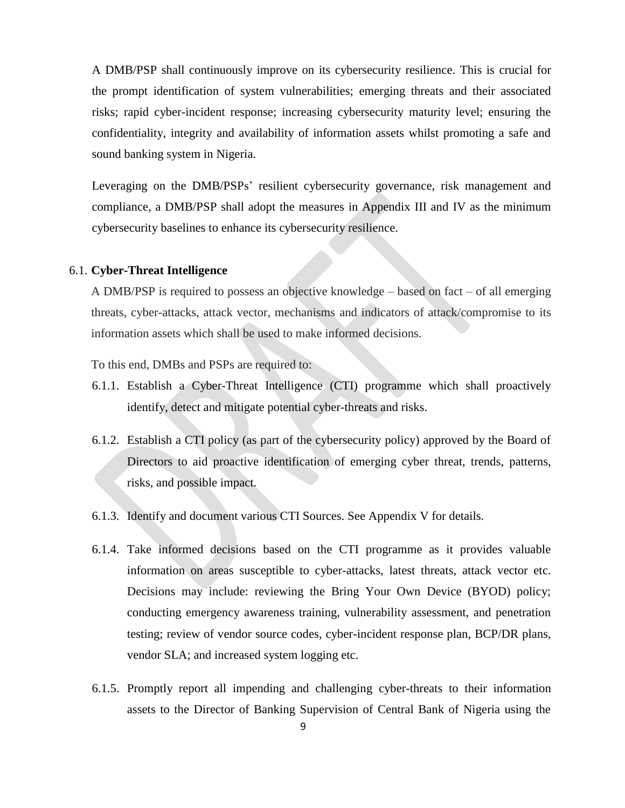A DMB/PSP shall continuously improve on its cybersecurity resilience. This is crucial for the prompt identification of system vulnerabilities; emerging threats and their associated risks; rapid cyber-incident response; increasing cybersecurity maturity level; ensuring the confidentiality, integrity and availability of information assets whilst promoting a safe and sound banking system in Nigeria.

Leveraging on the DMB/PSPs' resilient cybersecurity governance, risk management and compliance, a DMB/PSP shall adopt the measures in Appendix III and IV as the minimum cybersecurity baselines to enhance its cybersecurity resilience.

#### 6.1. **Cyber-Threat Intelligence**

A DMB/PSP is required to possess an objective knowledge – based on fact – of all emerging threats, cyber-attacks, attack vector, mechanisms and indicators of attack/compromise to its information assets which shall be used to make informed decisions.

To this end, DMBs and PSPs are required to:

- 6.1.1. Establish a Cyber-Threat Intelligence (CTI) programme which shall proactively identify, detect and mitigate potential cyber-threats and risks.
- 6.1.2. Establish a CTI policy (as part of the cybersecurity policy) approved by the Board of Directors to aid proactive identification of emerging cyber threat, trends, patterns, risks, and possible impact.
- 6.1.3. Identify and document various CTI Sources. See Appendix V for details.
- 6.1.4. Take informed decisions based on the CTI programme as it provides valuable information on areas susceptible to cyber-attacks, latest threats, attack vector etc. Decisions may include: reviewing the Bring Your Own Device (BYOD) policy; conducting emergency awareness training, vulnerability assessment, and penetration testing; review of vendor source codes, cyber-incident response plan, BCP/DR plans, vendor SLA; and increased system logging etc.
- 6.1.5. Promptly report all impending and challenging cyber-threats to their information assets to the Director of Banking Supervision of Central Bank of Nigeria using the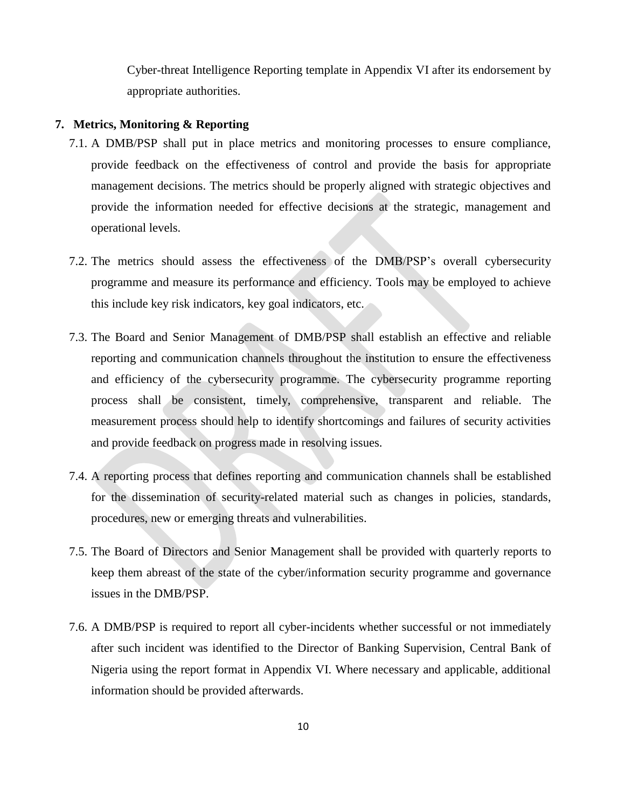Cyber-threat Intelligence Reporting template in Appendix VI after its endorsement by appropriate authorities.

#### <span id="page-12-0"></span>**7. Metrics, Monitoring & Reporting**

- 7.1. A DMB/PSP shall put in place metrics and monitoring processes to ensure compliance, provide feedback on the effectiveness of control and provide the basis for appropriate management decisions. The metrics should be properly aligned with strategic objectives and provide the information needed for effective decisions at the strategic, management and operational levels.
- 7.2. The metrics should assess the effectiveness of the DMB/PSP"s overall cybersecurity programme and measure its performance and efficiency. Tools may be employed to achieve this include key risk indicators, key goal indicators, etc.
- 7.3. The Board and Senior Management of DMB/PSP shall establish an effective and reliable reporting and communication channels throughout the institution to ensure the effectiveness and efficiency of the cybersecurity programme. The cybersecurity programme reporting process shall be consistent, timely, comprehensive, transparent and reliable. The measurement process should help to identify shortcomings and failures of security activities and provide feedback on progress made in resolving issues.
- 7.4. A reporting process that defines reporting and communication channels shall be established for the dissemination of security-related material such as changes in policies, standards, procedures, new or emerging threats and vulnerabilities.
- 7.5. The Board of Directors and Senior Management shall be provided with quarterly reports to keep them abreast of the state of the cyber/information security programme and governance issues in the DMB/PSP.
- 7.6. A DMB/PSP is required to report all cyber-incidents whether successful or not immediately after such incident was identified to the Director of Banking Supervision, Central Bank of Nigeria using the report format in Appendix VI. Where necessary and applicable, additional information should be provided afterwards.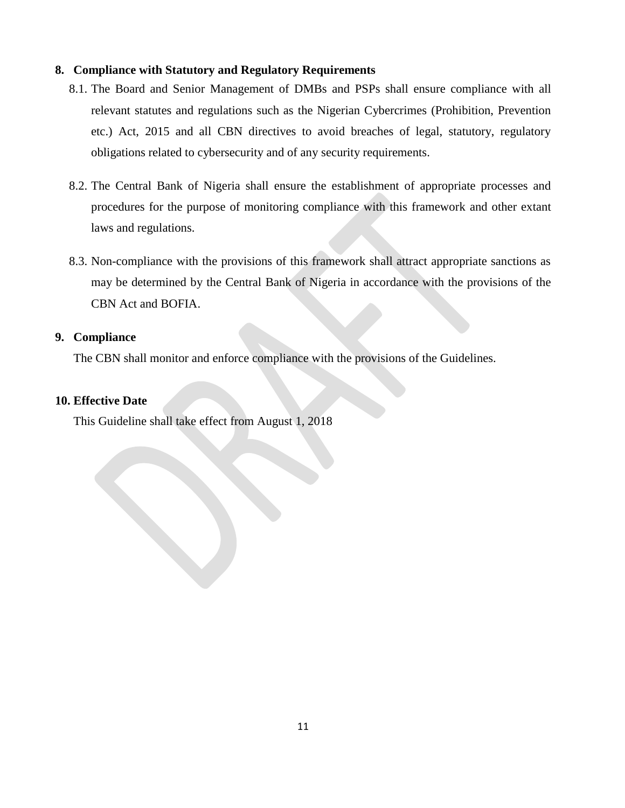#### <span id="page-13-0"></span>**8. Compliance with Statutory and Regulatory Requirements**

- 8.1. The Board and Senior Management of DMBs and PSPs shall ensure compliance with all relevant statutes and regulations such as the Nigerian Cybercrimes (Prohibition, Prevention etc.) Act, 2015 and all CBN directives to avoid breaches of legal, statutory, regulatory obligations related to cybersecurity and of any security requirements.
- 8.2. The Central Bank of Nigeria shall ensure the establishment of appropriate processes and procedures for the purpose of monitoring compliance with this framework and other extant laws and regulations.
- 8.3. Non-compliance with the provisions of this framework shall attract appropriate sanctions as may be determined by the Central Bank of Nigeria in accordance with the provisions of the CBN Act and BOFIA.

#### **9. Compliance**

The CBN shall monitor and enforce compliance with the provisions of the Guidelines.

#### **10. Effective Date**

This Guideline shall take effect from August 1, 2018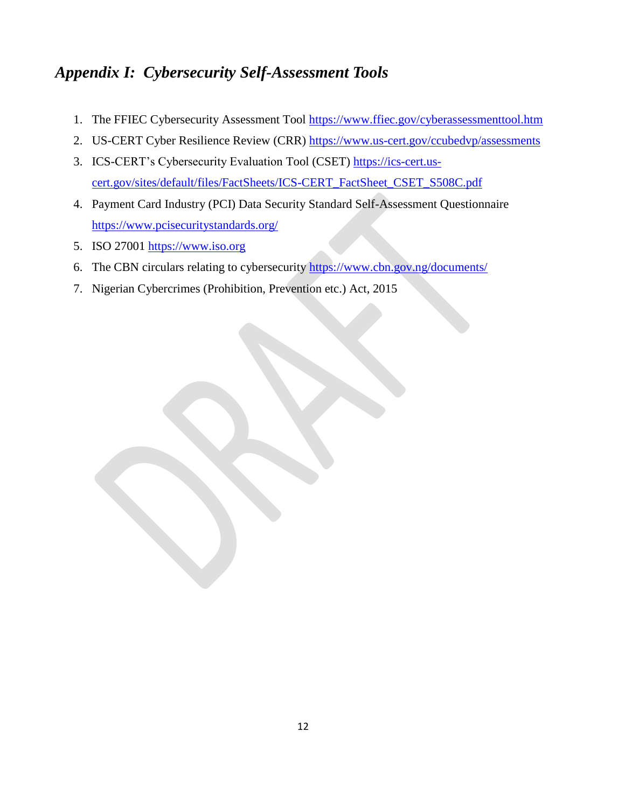## <span id="page-14-0"></span>*Appendix I: Cybersecurity Self-Assessment Tools*

- 1. The FFIEC Cybersecurity Assessment Tool <https://www.ffiec.gov/cyberassessmenttool.htm>
- 2. US-CERT Cyber Resilience Review (CRR)<https://www.us-cert.gov/ccubedvp/assessments>
- 3. ICS-CERT"s Cybersecurity Evaluation Tool (CSET) [https://ics-cert.us](https://ics-cert.us-cert.gov/sites/default/files/FactSheets/ICS-CERT_FactSheet_CSET_S508C.pdf)[cert.gov/sites/default/files/FactSheets/ICS-CERT\\_FactSheet\\_CSET\\_S508C.pdf](https://ics-cert.us-cert.gov/sites/default/files/FactSheets/ICS-CERT_FactSheet_CSET_S508C.pdf)
- 4. Payment Card Industry (PCI) Data Security Standard Self-Assessment Questionnaire <https://www.pcisecuritystandards.org/>
- 5. ISO 27001 [https://www.iso.org](https://www.iso.org/)
- 6. The CBN circulars relating to cybersecurity <https://www.cbn.gov.ng/documents/>
- 7. Nigerian Cybercrimes (Prohibition, Prevention etc.) Act, 2015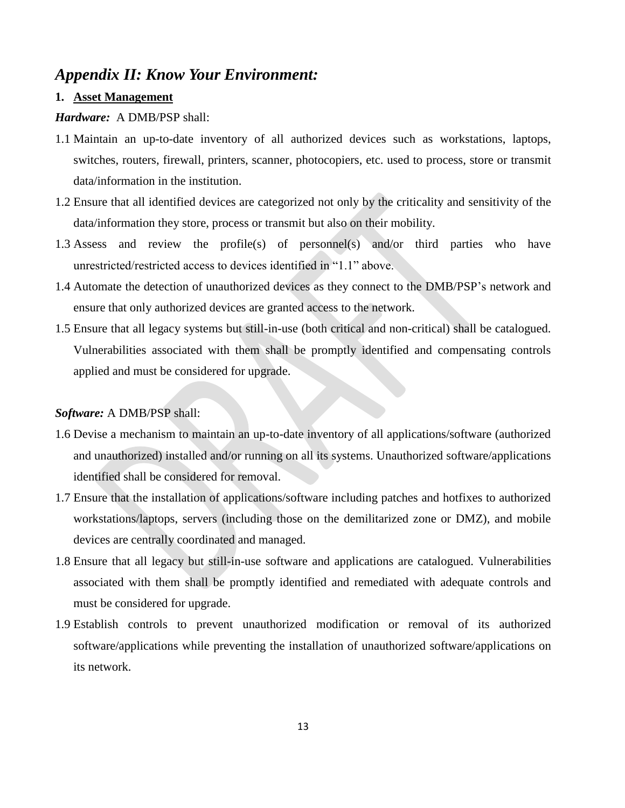### <span id="page-15-0"></span>*Appendix II: Know Your Environment:*

#### **1. Asset Management**

#### *Hardware:* A DMB/PSP shall:

- 1.1 Maintain an up-to-date inventory of all authorized devices such as workstations, laptops, switches, routers, firewall, printers, scanner, photocopiers, etc. used to process, store or transmit data/information in the institution.
- 1.2 Ensure that all identified devices are categorized not only by the criticality and sensitivity of the data/information they store, process or transmit but also on their mobility.
- 1.3 Assess and review the profile(s) of personnel(s) and/or third parties who have unrestricted/restricted access to devices identified in "1.1" above.
- 1.4 Automate the detection of unauthorized devices as they connect to the DMB/PSP"s network and ensure that only authorized devices are granted access to the network.
- 1.5 Ensure that all legacy systems but still-in-use (both critical and non-critical) shall be catalogued. Vulnerabilities associated with them shall be promptly identified and compensating controls applied and must be considered for upgrade.

#### *Software:* A DMB/PSP shall:

- 1.6 Devise a mechanism to maintain an up-to-date inventory of all applications/software (authorized and unauthorized) installed and/or running on all its systems. Unauthorized software/applications identified shall be considered for removal.
- 1.7 Ensure that the installation of applications/software including patches and hotfixes to authorized workstations/laptops, servers (including those on the demilitarized zone or DMZ), and mobile devices are centrally coordinated and managed.
- 1.8 Ensure that all legacy but still-in-use software and applications are catalogued. Vulnerabilities associated with them shall be promptly identified and remediated with adequate controls and must be considered for upgrade.
- 1.9 Establish controls to prevent unauthorized modification or removal of its authorized software/applications while preventing the installation of unauthorized software/applications on its network.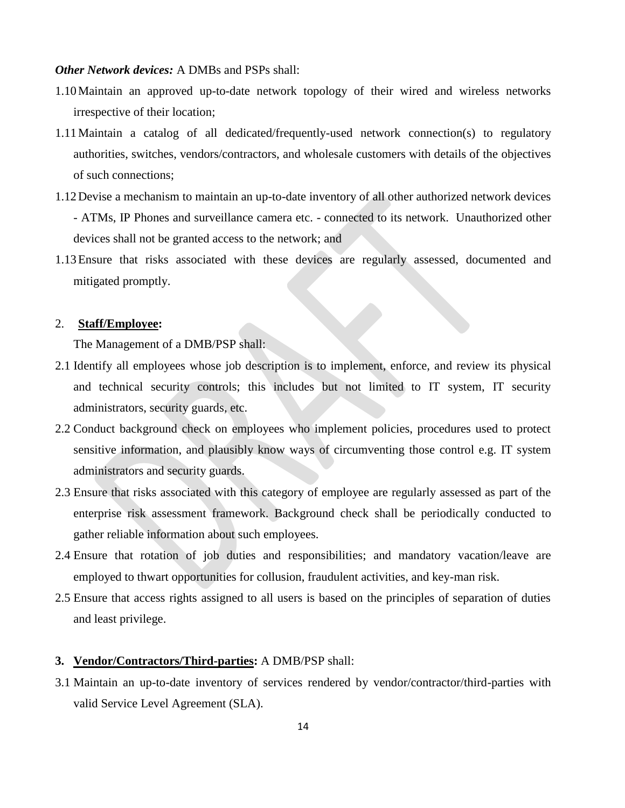#### *Other Network devices:* A DMBs and PSPs shall:

- 1.10Maintain an approved up-to-date network topology of their wired and wireless networks irrespective of their location;
- 1.11Maintain a catalog of all dedicated/frequently-used network connection(s) to regulatory authorities, switches, vendors/contractors, and wholesale customers with details of the objectives of such connections;
- 1.12Devise a mechanism to maintain an up-to-date inventory of all other authorized network devices - ATMs, IP Phones and surveillance camera etc. - connected to its network. Unauthorized other devices shall not be granted access to the network; and
- 1.13Ensure that risks associated with these devices are regularly assessed, documented and mitigated promptly.

#### 2. **Staff/Employee:**

The Management of a DMB/PSP shall:

- 2.1 Identify all employees whose job description is to implement, enforce, and review its physical and technical security controls; this includes but not limited to IT system, IT security administrators, security guards, etc.
- 2.2 Conduct background check on employees who implement policies, procedures used to protect sensitive information, and plausibly know ways of circumventing those control e.g. IT system administrators and security guards.
- 2.3 Ensure that risks associated with this category of employee are regularly assessed as part of the enterprise risk assessment framework. Background check shall be periodically conducted to gather reliable information about such employees.
- 2.4 Ensure that rotation of job duties and responsibilities; and mandatory vacation/leave are employed to thwart opportunities for collusion, fraudulent activities, and key-man risk.
- 2.5 Ensure that access rights assigned to all users is based on the principles of separation of duties and least privilege.

#### **3. Vendor/Contractors/Third-parties:** A DMB/PSP shall:

3.1 Maintain an up-to-date inventory of services rendered by vendor/contractor/third-parties with valid Service Level Agreement (SLA).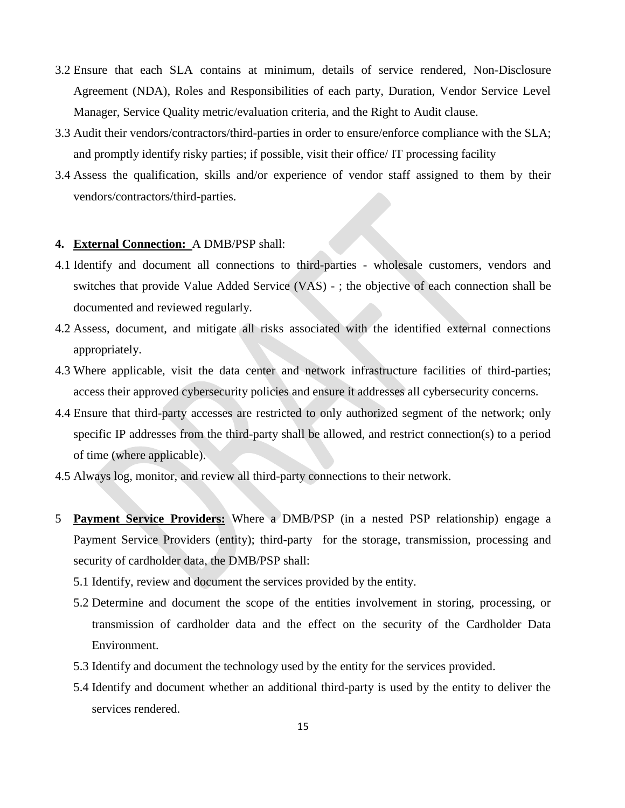- 3.2 Ensure that each SLA contains at minimum, details of service rendered, Non-Disclosure Agreement (NDA), Roles and Responsibilities of each party, Duration, Vendor Service Level Manager, Service Quality metric/evaluation criteria, and the Right to Audit clause.
- 3.3 Audit their vendors/contractors/third-parties in order to ensure/enforce compliance with the SLA; and promptly identify risky parties; if possible, visit their office/ IT processing facility
- 3.4 Assess the qualification, skills and/or experience of vendor staff assigned to them by their vendors/contractors/third-parties.

#### **4. External Connection:** A DMB/PSP shall:

- 4.1 Identify and document all connections to third-parties wholesale customers, vendors and switches that provide Value Added Service (VAS) - ; the objective of each connection shall be documented and reviewed regularly.
- 4.2 Assess, document, and mitigate all risks associated with the identified external connections appropriately.
- 4.3 Where applicable, visit the data center and network infrastructure facilities of third-parties; access their approved cybersecurity policies and ensure it addresses all cybersecurity concerns.
- 4.4 Ensure that third-party accesses are restricted to only authorized segment of the network; only specific IP addresses from the third-party shall be allowed, and restrict connection(s) to a period of time (where applicable).
- 4.5 Always log, monitor, and review all third-party connections to their network.
- 5 **Payment Service Providers:** Where a DMB/PSP (in a nested PSP relationship) engage a Payment Service Providers (entity); third-party for the storage, transmission, processing and security of cardholder data, the DMB/PSP shall:
	- 5.1 Identify, review and document the services provided by the entity.
	- 5.2 Determine and document the scope of the entities involvement in storing, processing, or transmission of cardholder data and the effect on the security of the Cardholder Data Environment.
	- 5.3 Identify and document the technology used by the entity for the services provided.
	- 5.4 Identify and document whether an additional third-party is used by the entity to deliver the services rendered.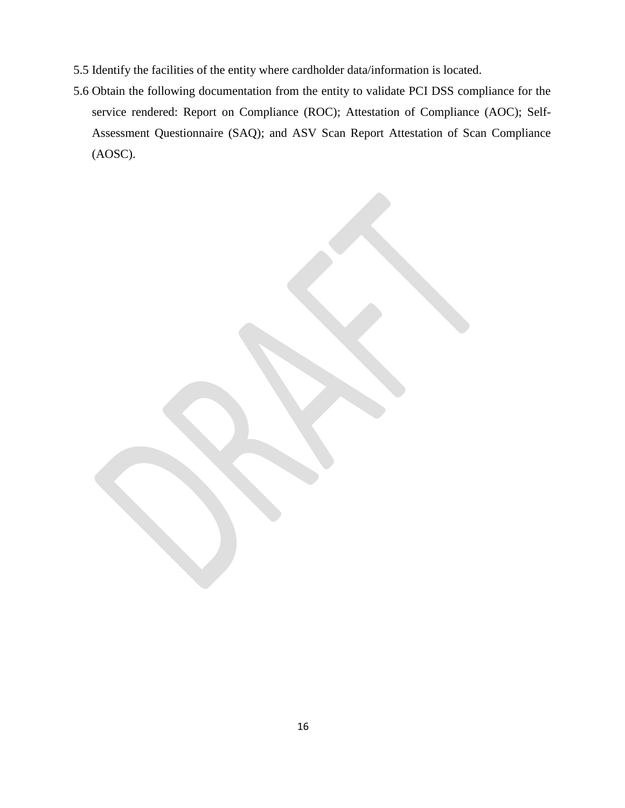- 5.5 Identify the facilities of the entity where cardholder data/information is located.
- <span id="page-18-0"></span>5.6 Obtain the following documentation from the entity to validate PCI DSS compliance for the service rendered: Report on Compliance (ROC); Attestation of Compliance (AOC); Self-Assessment Questionnaire (SAQ); and ASV Scan Report Attestation of Scan Compliance (AOSC).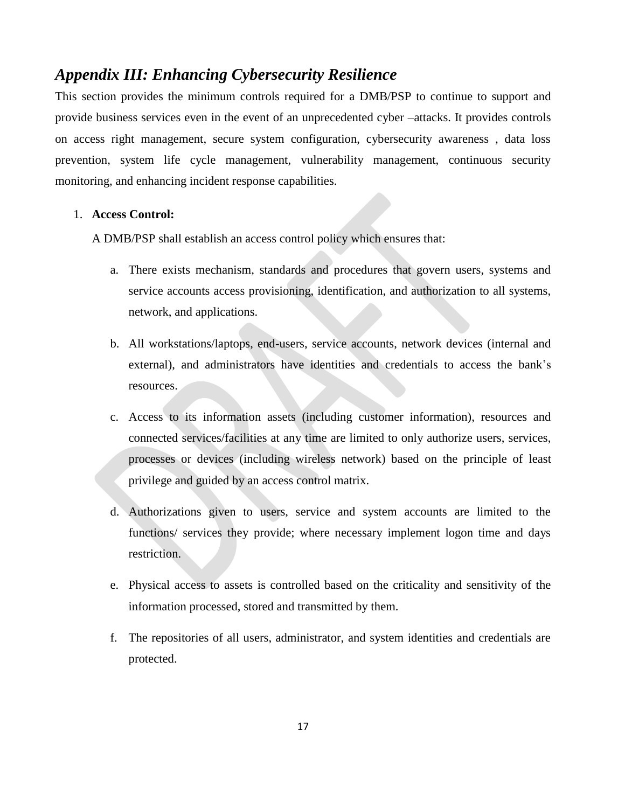### *Appendix III: Enhancing Cybersecurity Resilience*

This section provides the minimum controls required for a DMB/PSP to continue to support and provide business services even in the event of an unprecedented cyber –attacks. It provides controls on access right management, secure system configuration, cybersecurity awareness , data loss prevention, system life cycle management, vulnerability management, continuous security monitoring, and enhancing incident response capabilities.

#### 1. **Access Control:**

A DMB/PSP shall establish an access control policy which ensures that:

- a. There exists mechanism, standards and procedures that govern users, systems and service accounts access provisioning, identification, and authorization to all systems, network, and applications.
- b. All workstations/laptops, end-users, service accounts, network devices (internal and external), and administrators have identities and credentials to access the bank"s resources.
- c. Access to its information assets (including customer information), resources and connected services/facilities at any time are limited to only authorize users, services, processes or devices (including wireless network) based on the principle of least privilege and guided by an access control matrix.
- d. Authorizations given to users, service and system accounts are limited to the functions/ services they provide; where necessary implement logon time and days restriction.
- e. Physical access to assets is controlled based on the criticality and sensitivity of the information processed, stored and transmitted by them.
- f. The repositories of all users, administrator, and system identities and credentials are protected.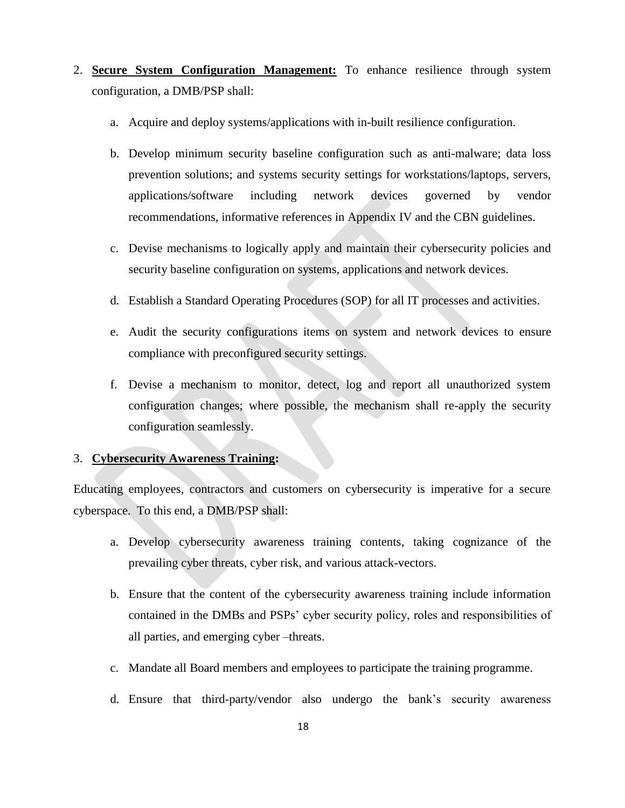- 2. **Secure System Configuration Management:** To enhance resilience through system configuration, a DMB/PSP shall:
	- a. Acquire and deploy systems/applications with in-built resilience configuration.
	- b. Develop minimum security baseline configuration such as anti-malware; data loss prevention solutions; and systems security settings for workstations/laptops, servers, applications/software including network devices governed by vendor recommendations, informative references in Appendix IV and the CBN guidelines.
	- c. Devise mechanisms to logically apply and maintain their cybersecurity policies and security baseline configuration on systems, applications and network devices.
	- d. Establish a Standard Operating Procedures (SOP) for all IT processes and activities.
	- e. Audit the security configurations items on system and network devices to ensure compliance with preconfigured security settings.
	- f. Devise a mechanism to monitor, detect, log and report all unauthorized system configuration changes; where possible, the mechanism shall re-apply the security configuration seamlessly.

#### 3. **Cybersecurity Awareness Training:**

Educating employees, contractors and customers on cybersecurity is imperative for a secure cyberspace. To this end, a DMB/PSP shall:

- a. Develop cybersecurity awareness training contents, taking cognizance of the prevailing cyber threats, cyber risk, and various attack-vectors.
- b. Ensure that the content of the cybersecurity awareness training include information contained in the DMBs and PSPs" cyber security policy, roles and responsibilities of all parties, and emerging cyber –threats.
- c. Mandate all Board members and employees to participate the training programme.
- d. Ensure that third-party/vendor also undergo the bank"s security awareness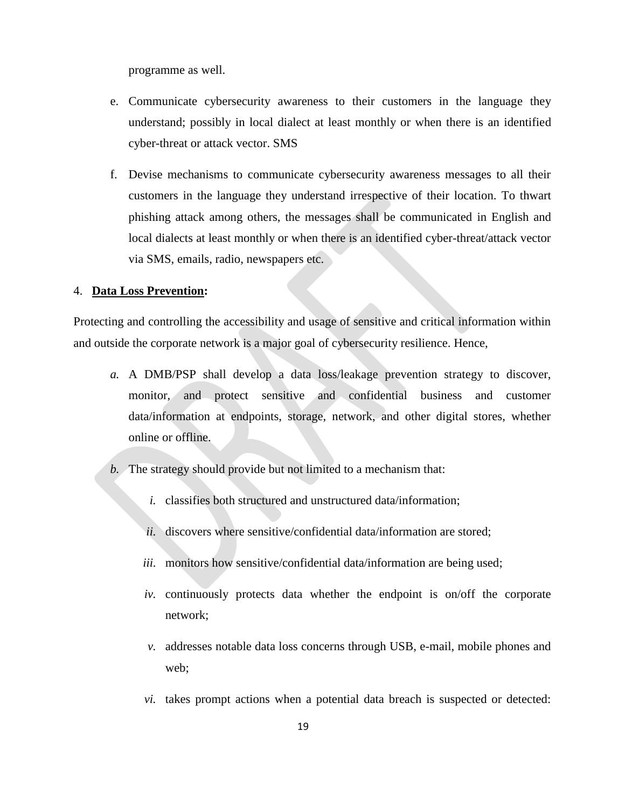programme as well.

- e. Communicate cybersecurity awareness to their customers in the language they understand; possibly in local dialect at least monthly or when there is an identified cyber-threat or attack vector. SMS
- f. Devise mechanisms to communicate cybersecurity awareness messages to all their customers in the language they understand irrespective of their location. To thwart phishing attack among others, the messages shall be communicated in English and local dialects at least monthly or when there is an identified cyber-threat/attack vector via SMS, emails, radio, newspapers etc.

#### 4. **Data Loss Prevention:**

Protecting and controlling the accessibility and usage of sensitive and critical information within and outside the corporate network is a major goal of cybersecurity resilience. Hence,

- *a.* A DMB/PSP shall develop a data loss/leakage prevention strategy to discover, monitor, and protect sensitive and confidential business and customer data/information at endpoints, storage, network, and other digital stores, whether online or offline.
- *b.* The strategy should provide but not limited to a mechanism that:
	- *i.* classifies both structured and unstructured data/information;
	- *ii.* discovers where sensitive/confidential data/information are stored;
	- *iii.* monitors how sensitive/confidential data/information are being used;
	- *iv.* continuously protects data whether the endpoint is on/off the corporate network;
	- *v.* addresses notable data loss concerns through USB, e-mail, mobile phones and web;
	- *vi.* takes prompt actions when a potential data breach is suspected or detected: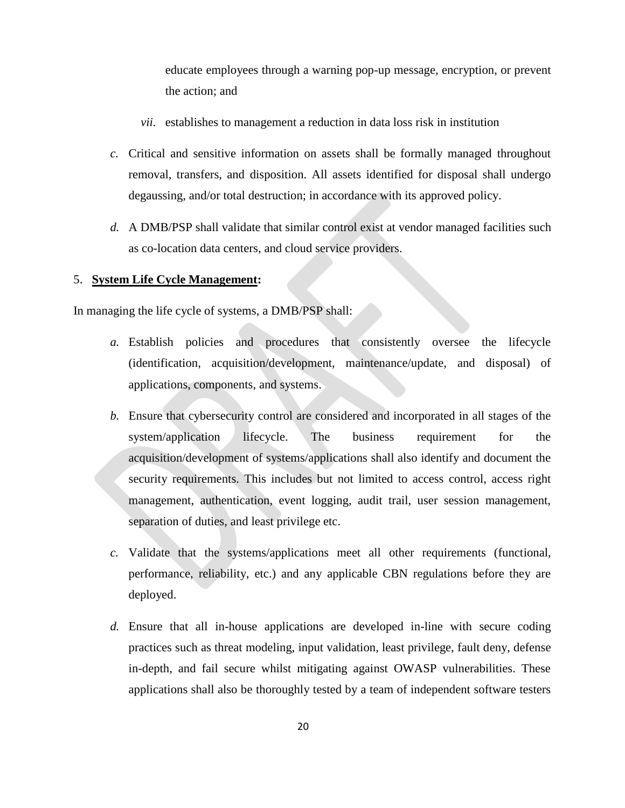educate employees through a warning pop-up message, encryption, or prevent the action; and

- *vii.* establishes to management a reduction in data loss risk in institution
- *c.* Critical and sensitive information on assets shall be formally managed throughout removal, transfers, and disposition. All assets identified for disposal shall undergo degaussing, and/or total destruction; in accordance with its approved policy.
- *d.* A DMB/PSP shall validate that similar control exist at vendor managed facilities such as co-location data centers, and cloud service providers.

#### 5. **System Life Cycle Management:**

In managing the life cycle of systems, a DMB/PSP shall:

- *a.* Establish policies and procedures that consistently oversee the lifecycle (identification, acquisition/development, maintenance/update, and disposal) of applications, components, and systems.
- *b.* Ensure that cybersecurity control are considered and incorporated in all stages of the system/application lifecycle. The business requirement for the acquisition/development of systems/applications shall also identify and document the security requirements. This includes but not limited to access control, access right management, authentication, event logging, audit trail, user session management, separation of duties, and least privilege etc.
- *c.* Validate that the systems/applications meet all other requirements (functional, performance, reliability, etc.) and any applicable CBN regulations before they are deployed.
- *d.* Ensure that all in-house applications are developed in-line with secure coding practices such as threat modeling, input validation, least privilege, fault deny, defense in-depth, and fail secure whilst mitigating against OWASP vulnerabilities. These applications shall also be thoroughly tested by a team of independent software testers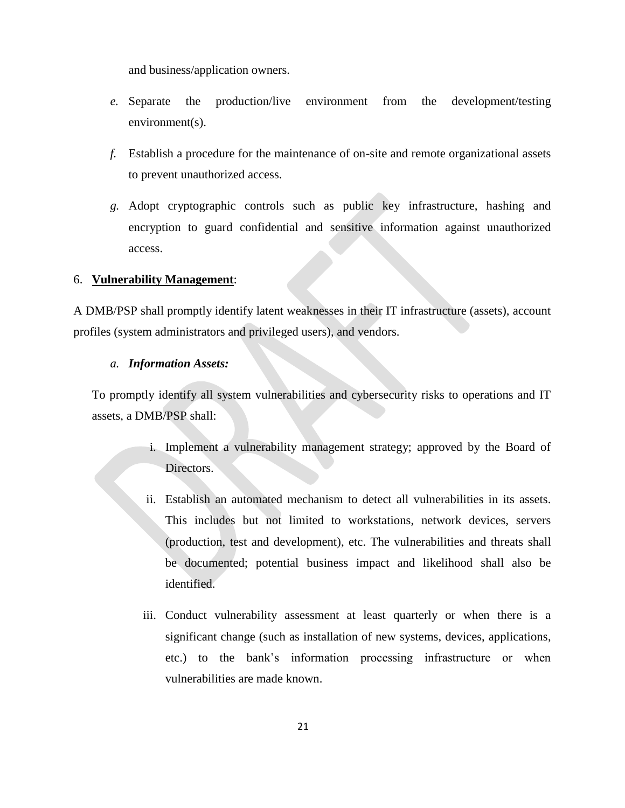and business/application owners.

- *e.* Separate the production/live environment from the development/testing environment(s).
- *f.* Establish a procedure for the maintenance of on-site and remote organizational assets to prevent unauthorized access.
- *g.* Adopt cryptographic controls such as public key infrastructure, hashing and encryption to guard confidential and sensitive information against unauthorized access.

#### 6. **Vulnerability Management**:

A DMB/PSP shall promptly identify latent weaknesses in their IT infrastructure (assets), account profiles (system administrators and privileged users), and vendors.

#### *a. Information Assets:*

To promptly identify all system vulnerabilities and cybersecurity risks to operations and IT assets, a DMB/PSP shall:

- i. Implement a vulnerability management strategy; approved by the Board of Directors.
- ii. Establish an automated mechanism to detect all vulnerabilities in its assets. This includes but not limited to workstations, network devices, servers (production, test and development), etc. The vulnerabilities and threats shall be documented; potential business impact and likelihood shall also be identified.
- iii. Conduct vulnerability assessment at least quarterly or when there is a significant change (such as installation of new systems, devices, applications, etc.) to the bank"s information processing infrastructure or when vulnerabilities are made known.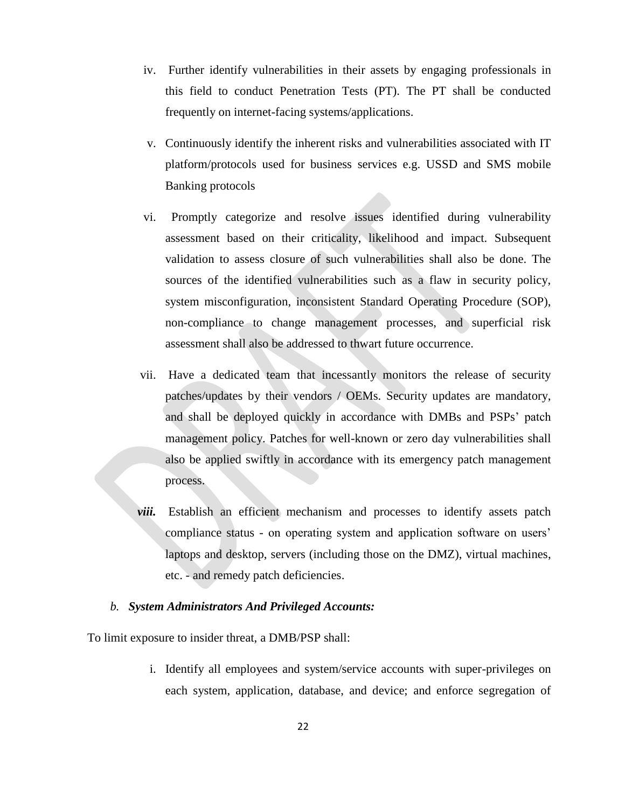- iv. Further identify vulnerabilities in their assets by engaging professionals in this field to conduct Penetration Tests (PT). The PT shall be conducted frequently on internet-facing systems/applications.
- v. Continuously identify the inherent risks and vulnerabilities associated with IT platform/protocols used for business services e.g. USSD and SMS mobile Banking protocols
- vi. Promptly categorize and resolve issues identified during vulnerability assessment based on their criticality, likelihood and impact. Subsequent validation to assess closure of such vulnerabilities shall also be done. The sources of the identified vulnerabilities such as a flaw in security policy, system misconfiguration, inconsistent Standard Operating Procedure (SOP), non-compliance to change management processes, and superficial risk assessment shall also be addressed to thwart future occurrence.
- vii. Have a dedicated team that incessantly monitors the release of security patches/updates by their vendors / OEMs. Security updates are mandatory, and shall be deployed quickly in accordance with DMBs and PSPs" patch management policy. Patches for well-known or zero day vulnerabilities shall also be applied swiftly in accordance with its emergency patch management process.
- *viii.* Establish an efficient mechanism and processes to identify assets patch compliance status - on operating system and application software on users' laptops and desktop, servers (including those on the DMZ), virtual machines, etc. - and remedy patch deficiencies.

#### *b. System Administrators And Privileged Accounts:*

To limit exposure to insider threat, a DMB/PSP shall:

i. Identify all employees and system/service accounts with super-privileges on each system, application, database, and device; and enforce segregation of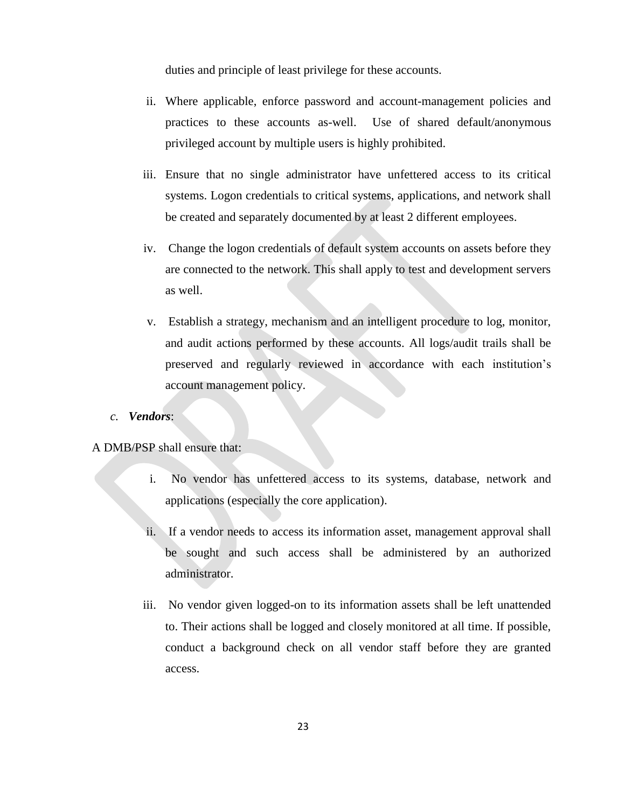duties and principle of least privilege for these accounts.

- ii. Where applicable, enforce password and account-management policies and practices to these accounts as-well. Use of shared default/anonymous privileged account by multiple users is highly prohibited.
- iii. Ensure that no single administrator have unfettered access to its critical systems. Logon credentials to critical systems, applications, and network shall be created and separately documented by at least 2 different employees.
- iv. Change the logon credentials of default system accounts on assets before they are connected to the network. This shall apply to test and development servers as well.
- v. Establish a strategy, mechanism and an intelligent procedure to log, monitor, and audit actions performed by these accounts. All logs/audit trails shall be preserved and regularly reviewed in accordance with each institution"s account management policy.
- *c. Vendors*:

#### A DMB/PSP shall ensure that:

- i. No vendor has unfettered access to its systems, database, network and applications (especially the core application).
- ii. If a vendor needs to access its information asset, management approval shall be sought and such access shall be administered by an authorized administrator.
- iii. No vendor given logged-on to its information assets shall be left unattended to. Their actions shall be logged and closely monitored at all time. If possible, conduct a background check on all vendor staff before they are granted access.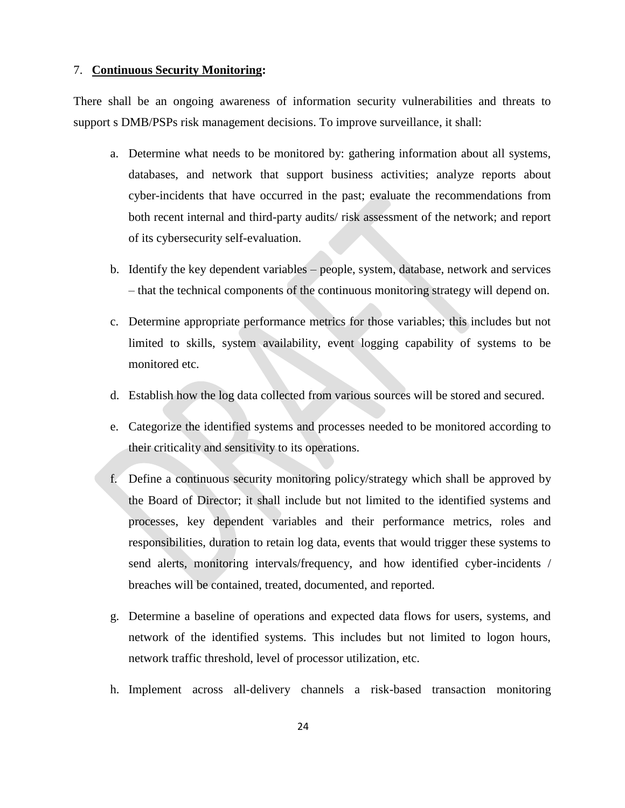#### 7. **Continuous Security Monitoring:**

There shall be an ongoing awareness of information security vulnerabilities and threats to support s DMB/PSPs risk management decisions. To improve surveillance, it shall:

- a. Determine what needs to be monitored by: gathering information about all systems, databases, and network that support business activities; analyze reports about cyber-incidents that have occurred in the past; evaluate the recommendations from both recent internal and third-party audits/ risk assessment of the network; and report of its cybersecurity self-evaluation.
- b. Identify the key dependent variables people, system, database, network and services – that the technical components of the continuous monitoring strategy will depend on.
- c. Determine appropriate performance metrics for those variables; this includes but not limited to skills, system availability, event logging capability of systems to be monitored etc.
- d. Establish how the log data collected from various sources will be stored and secured.
- e. Categorize the identified systems and processes needed to be monitored according to their criticality and sensitivity to its operations.
- f. Define a continuous security monitoring policy/strategy which shall be approved by the Board of Director; it shall include but not limited to the identified systems and processes, key dependent variables and their performance metrics, roles and responsibilities, duration to retain log data, events that would trigger these systems to send alerts, monitoring intervals/frequency, and how identified cyber-incidents / breaches will be contained, treated, documented, and reported.
- g. Determine a baseline of operations and expected data flows for users, systems, and network of the identified systems. This includes but not limited to logon hours, network traffic threshold, level of processor utilization, etc.
- h. Implement across all-delivery channels a risk-based transaction monitoring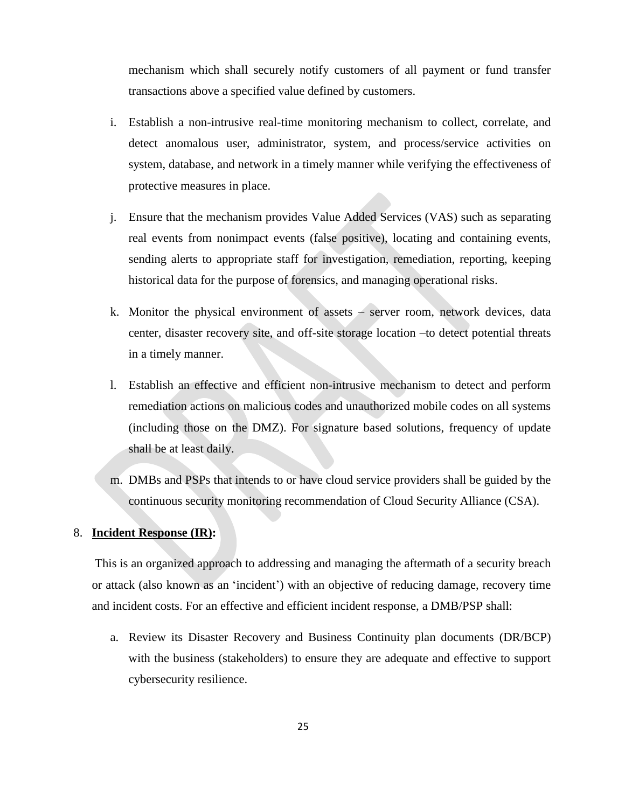mechanism which shall securely notify customers of all payment or fund transfer transactions above a specified value defined by customers.

- i. Establish a non-intrusive real-time monitoring mechanism to collect, correlate, and detect anomalous user, administrator, system, and process/service activities on system, database, and network in a timely manner while verifying the effectiveness of protective measures in place.
- j. Ensure that the mechanism provides Value Added Services (VAS) such as separating real events from nonimpact events (false positive), locating and containing events, sending alerts to appropriate staff for investigation, remediation, reporting, keeping historical data for the purpose of forensics, and managing operational risks.
- k. Monitor the physical environment of assets server room, network devices, data center, disaster recovery site, and off-site storage location –to detect potential threats in a timely manner.
- l. Establish an effective and efficient non-intrusive mechanism to detect and perform remediation actions on malicious codes and unauthorized mobile codes on all systems (including those on the DMZ). For signature based solutions, frequency of update shall be at least daily.
- m. DMBs and PSPs that intends to or have cloud service providers shall be guided by the continuous security monitoring recommendation of Cloud Security Alliance (CSA).

#### 8. **Incident Response (IR):**

This is an organized approach to addressing and managing the aftermath of a security breach or attack (also known as an "incident") with an objective of reducing damage, recovery time and incident costs. For an effective and efficient incident response, a DMB/PSP shall:

a. Review its Disaster Recovery and Business Continuity plan documents (DR/BCP) with the business (stakeholders) to ensure they are adequate and effective to support cybersecurity resilience.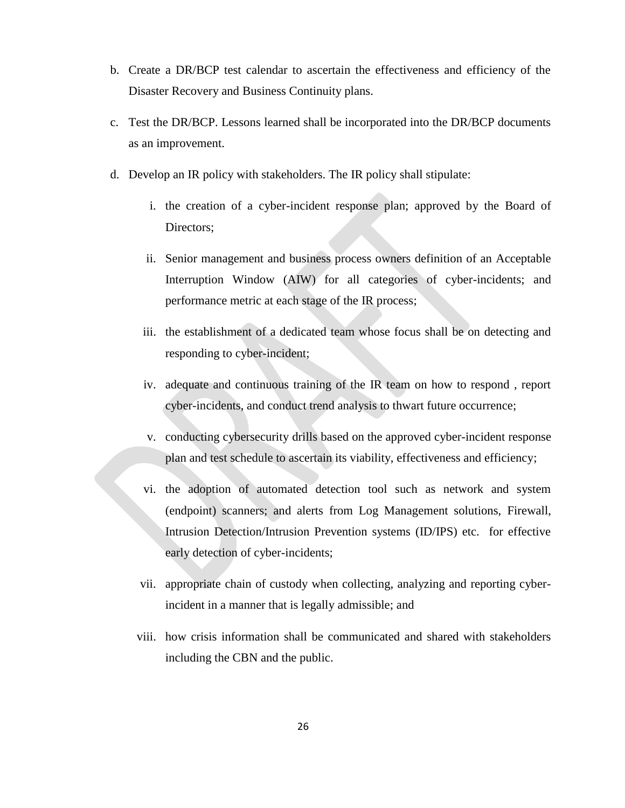- b. Create a DR/BCP test calendar to ascertain the effectiveness and efficiency of the Disaster Recovery and Business Continuity plans.
- c. Test the DR/BCP. Lessons learned shall be incorporated into the DR/BCP documents as an improvement.
- d. Develop an IR policy with stakeholders. The IR policy shall stipulate:
	- i. the creation of a cyber-incident response plan; approved by the Board of Directors;
	- ii. Senior management and business process owners definition of an Acceptable Interruption Window (AIW) for all categories of cyber-incidents; and performance metric at each stage of the IR process;
	- iii. the establishment of a dedicated team whose focus shall be on detecting and responding to cyber-incident;
	- iv. adequate and continuous training of the IR team on how to respond , report cyber-incidents, and conduct trend analysis to thwart future occurrence;
	- v. conducting cybersecurity drills based on the approved cyber-incident response plan and test schedule to ascertain its viability, effectiveness and efficiency;
	- vi. the adoption of automated detection tool such as network and system (endpoint) scanners; and alerts from Log Management solutions, Firewall, Intrusion Detection/Intrusion Prevention systems (ID/IPS) etc. for effective early detection of cyber-incidents;
	- vii. appropriate chain of custody when collecting, analyzing and reporting cyberincident in a manner that is legally admissible; and
	- viii. how crisis information shall be communicated and shared with stakeholders including the CBN and the public.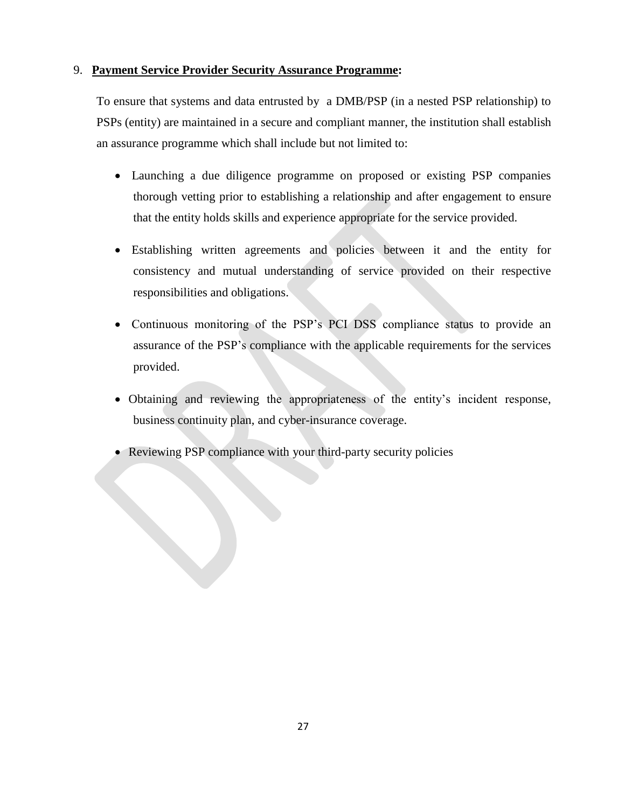#### 9. **Payment Service Provider Security Assurance Programme:**

To ensure that systems and data entrusted by a DMB/PSP (in a nested PSP relationship) to PSPs (entity) are maintained in a secure and compliant manner, the institution shall establish an assurance programme which shall include but not limited to:

- Launching a due diligence programme on proposed or existing PSP companies thorough vetting prior to establishing a relationship and after engagement to ensure that the entity holds skills and experience appropriate for the service provided.
- Establishing written agreements and policies between it and the entity for consistency and mutual understanding of service provided on their respective responsibilities and obligations.
- Continuous monitoring of the PSP"s PCI DSS compliance status to provide an assurance of the PSP"s compliance with the applicable requirements for the services provided.
- Obtaining and reviewing the appropriateness of the entity"s incident response, business continuity plan, and cyber-insurance coverage.
- <span id="page-29-0"></span>• Reviewing PSP compliance with your third-party security policies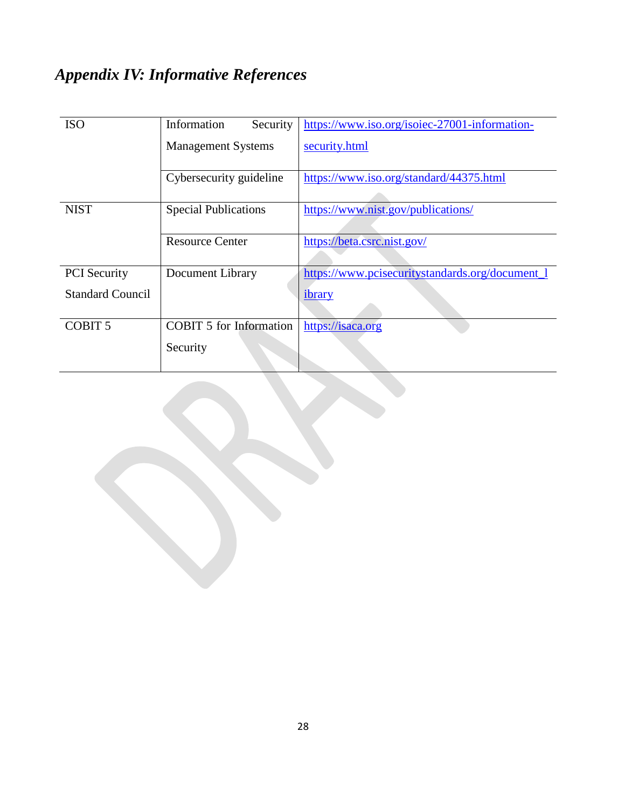## *Appendix IV: Informative References*

| <b>ISO</b>              | Information<br>Security        | https://www.iso.org/isoiec-27001-information-   |
|-------------------------|--------------------------------|-------------------------------------------------|
|                         | <b>Management Systems</b>      | security.html                                   |
|                         | Cybersecurity guideline        | https://www.iso.org/standard/44375.html         |
| <b>NIST</b>             | <b>Special Publications</b>    | https://www.nist.gov/publications/              |
|                         | <b>Resource Center</b>         | https://beta.csrc.nist.gov/                     |
| <b>PCI</b> Security     | <b>Document Library</b>        | https://www.pcisecuritystandards.org/document_1 |
| <b>Standard Council</b> |                                | ibrary                                          |
| COBIT <sub>5</sub>      | <b>COBIT 5 for Information</b> | https://isaca.org                               |
|                         | Security                       |                                                 |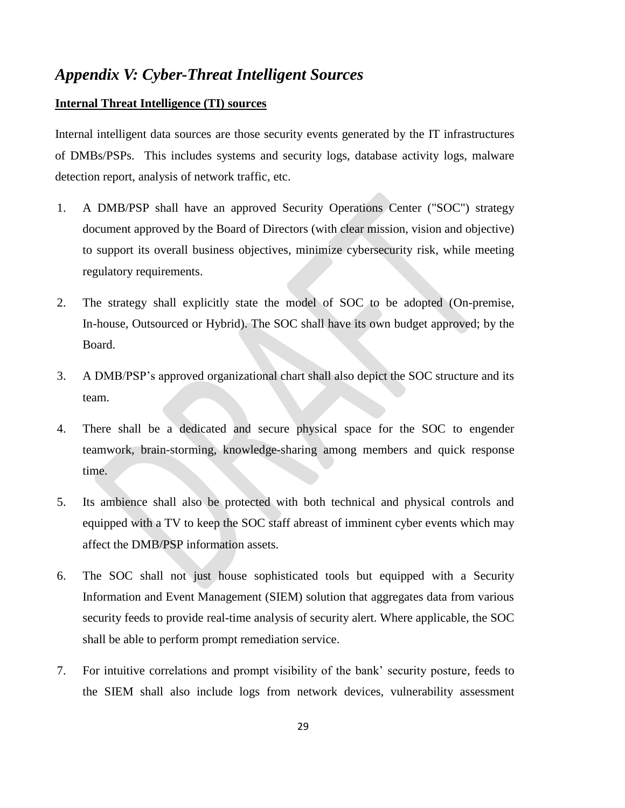### <span id="page-31-0"></span>*Appendix V: Cyber-Threat Intelligent Sources*

#### **Internal Threat Intelligence (TI) sources**

Internal intelligent data sources are those security events generated by the IT infrastructures of DMBs/PSPs. This includes systems and security logs, database activity logs, malware detection report, analysis of network traffic, etc.

- 1. A DMB/PSP shall have an approved Security Operations Center ("SOC") strategy document approved by the Board of Directors (with clear mission, vision and objective) to support its overall business objectives, minimize cybersecurity risk, while meeting regulatory requirements.
- 2. The strategy shall explicitly state the model of SOC to be adopted (On-premise, In-house, Outsourced or Hybrid). The SOC shall have its own budget approved; by the Board.
- 3. A DMB/PSP"s approved organizational chart shall also depict the SOC structure and its team.
- 4. There shall be a dedicated and secure physical space for the SOC to engender teamwork, brain-storming, knowledge-sharing among members and quick response time.
- 5. Its ambience shall also be protected with both technical and physical controls and equipped with a TV to keep the SOC staff abreast of imminent cyber events which may affect the DMB/PSP information assets.
- 6. The SOC shall not just house sophisticated tools but equipped with a Security Information and Event Management (SIEM) solution that aggregates data from various security feeds to provide real-time analysis of security alert. Where applicable, the SOC shall be able to perform prompt remediation service.
- 7. For intuitive correlations and prompt visibility of the bank" security posture, feeds to the SIEM shall also include logs from network devices, vulnerability assessment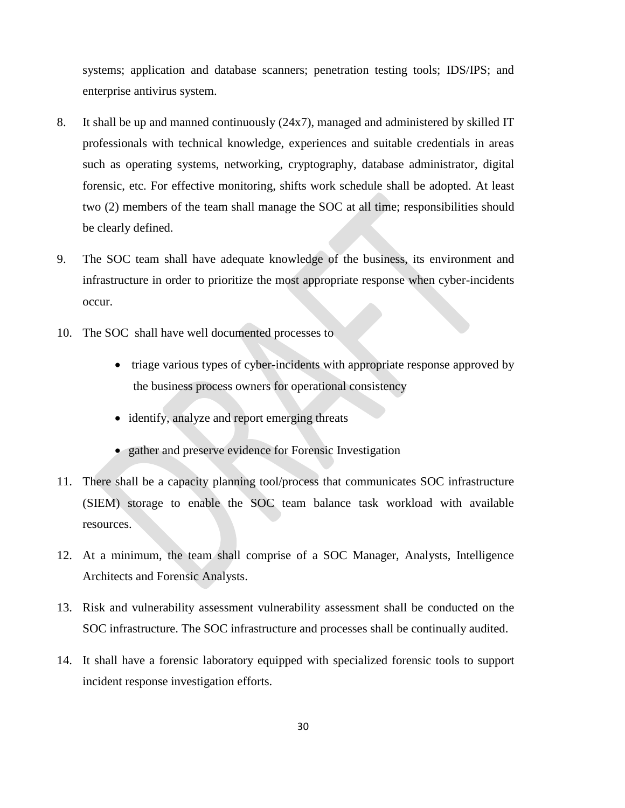systems; application and database scanners; penetration testing tools; IDS/IPS; and enterprise antivirus system.

- 8. It shall be up and manned continuously (24x7), managed and administered by skilled IT professionals with technical knowledge, experiences and suitable credentials in areas such as operating systems, networking, cryptography, database administrator, digital forensic, etc. For effective monitoring, shifts work schedule shall be adopted. At least two (2) members of the team shall manage the SOC at all time; responsibilities should be clearly defined.
- 9. The SOC team shall have adequate knowledge of the business, its environment and infrastructure in order to prioritize the most appropriate response when cyber-incidents occur.
- 10. The SOC shall have well documented processes to
	- triage various types of cyber-incidents with appropriate response approved by the business process owners for operational consistency
	- identify, analyze and report emerging threats
	- gather and preserve evidence for Forensic Investigation
- 11. There shall be a capacity planning tool/process that communicates SOC infrastructure (SIEM) storage to enable the SOC team balance task workload with available resources.
- 12. At a minimum, the team shall comprise of a SOC Manager, Analysts, Intelligence Architects and Forensic Analysts.
- 13. Risk and vulnerability assessment vulnerability assessment shall be conducted on the SOC infrastructure. The SOC infrastructure and processes shall be continually audited.
- 14. It shall have a forensic laboratory equipped with specialized forensic tools to support incident response investigation efforts.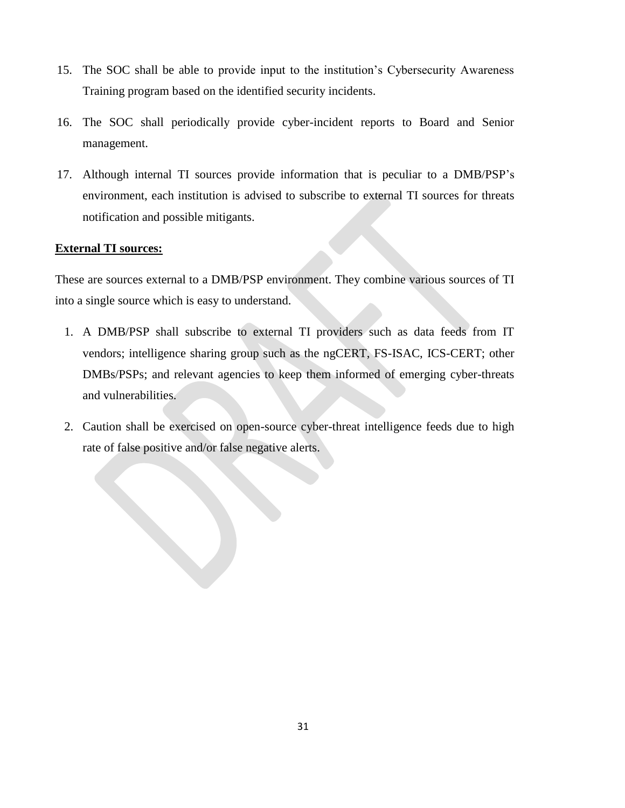- 15. The SOC shall be able to provide input to the institution"s Cybersecurity Awareness Training program based on the identified security incidents.
- 16. The SOC shall periodically provide cyber-incident reports to Board and Senior management.
- 17. Although internal TI sources provide information that is peculiar to a DMB/PSP"s environment, each institution is advised to subscribe to external TI sources for threats notification and possible mitigants.

#### **External TI sources:**

These are sources external to a DMB/PSP environment. They combine various sources of TI into a single source which is easy to understand.

- 1. A DMB/PSP shall subscribe to external TI providers such as data feeds from IT vendors; intelligence sharing group such as the ngCERT, FS-ISAC, ICS-CERT; other DMBs/PSPs; and relevant agencies to keep them informed of emerging cyber-threats and vulnerabilities.
- <span id="page-33-0"></span>2. Caution shall be exercised on open-source cyber-threat intelligence feeds due to high rate of false positive and/or false negative alerts.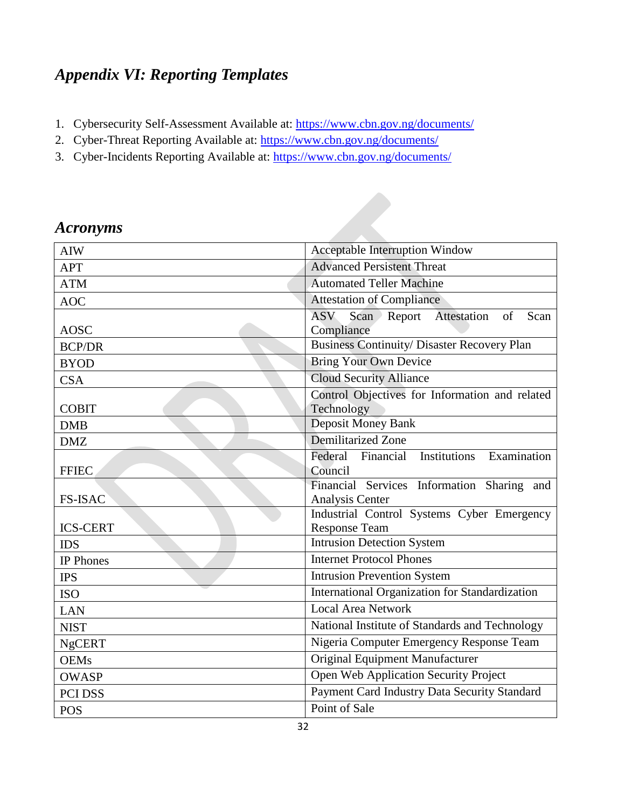## *Appendix VI: Reporting Templates*

- 1. Cybersecurity Self-Assessment Available at:<https://www.cbn.gov.ng/documents/>
- 2. Cyber-Threat Reporting Available at:<https://www.cbn.gov.ng/documents/>
- 3. Cyber-Incidents Reporting Available at:<https://www.cbn.gov.ng/documents/>

| <b>AIW</b>       | <b>Acceptable Interruption Window</b>                       |
|------------------|-------------------------------------------------------------|
| <b>APT</b>       | <b>Advanced Persistent Threat</b>                           |
| <b>ATM</b>       | <b>Automated Teller Machine</b>                             |
| <b>AOC</b>       | <b>Attestation of Compliance</b>                            |
|                  | Attestation<br><b>ASV</b><br>Scan ><br>Report<br>of<br>Scan |
| <b>AOSC</b>      | Compliance                                                  |
| <b>BCP/DR</b>    | <b>Business Continuity/ Disaster Recovery Plan</b>          |
| <b>BYOD</b>      | <b>Bring Your Own Device</b>                                |
| <b>CSA</b>       | <b>Cloud Security Alliance</b>                              |
|                  | Control Objectives for Information and related              |
| <b>COBIT</b>     | Technology                                                  |
| <b>DMB</b>       | <b>Deposit Money Bank</b>                                   |
| <b>DMZ</b>       | Demilitarized Zone                                          |
|                  | Institutions<br>Examination<br>Federal<br>Financial         |
| <b>FFIEC</b>     | Council                                                     |
|                  | Financial Services Information Sharing and                  |
| <b>FS-ISAC</b>   | <b>Analysis Center</b>                                      |
|                  | Industrial Control Systems Cyber Emergency                  |
| <b>ICS-CERT</b>  | <b>Response Team</b>                                        |
| <b>IDS</b>       | <b>Intrusion Detection System</b>                           |
| <b>IP</b> Phones | <b>Internet Protocol Phones</b>                             |
| <b>IPS</b>       | <b>Intrusion Prevention System</b>                          |
| <b>ISO</b>       | International Organization for Standardization              |
| <b>LAN</b>       | <b>Local Area Network</b>                                   |
| <b>NIST</b>      | National Institute of Standards and Technology              |
| <b>NgCERT</b>    | Nigeria Computer Emergency Response Team                    |
| <b>OEMs</b>      | Original Equipment Manufacturer                             |
| <b>OWASP</b>     | Open Web Application Security Project                       |
| PCI DSS          | Payment Card Industry Data Security Standard                |
| <b>POS</b>       | Point of Sale                                               |

## <span id="page-34-0"></span>*Acronyms*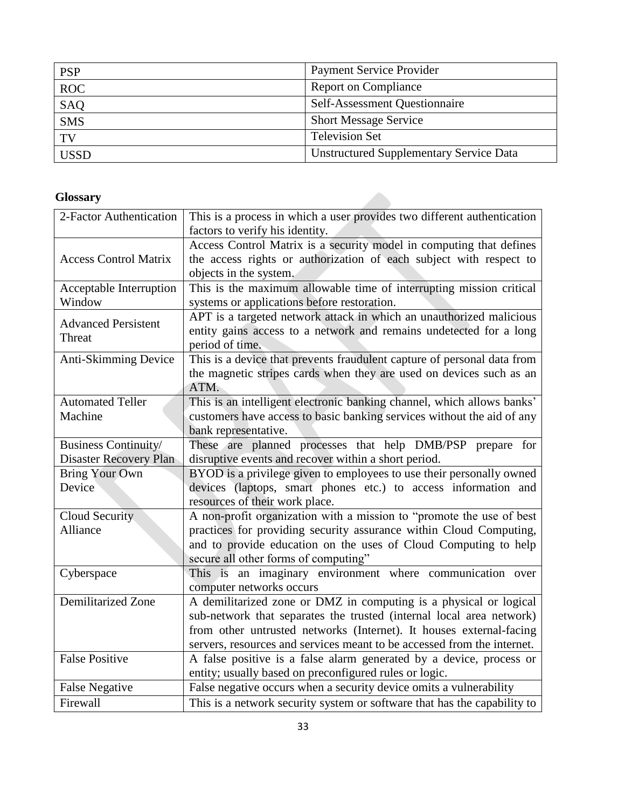| <b>PSP</b>  | <b>Payment Service Provider</b>                |
|-------------|------------------------------------------------|
| <b>ROC</b>  | <b>Report on Compliance</b>                    |
| <b>SAQ</b>  | <b>Self-Assessment Questionnaire</b>           |
| <b>SMS</b>  | <b>Short Message Service</b>                   |
| TV          | <b>Television Set</b>                          |
| <b>USSD</b> | <b>Unstructured Supplementary Service Data</b> |

### <span id="page-35-0"></span>**Glossary**

| 2-Factor Authentication      | This is a process in which a user provides two different authentication  |
|------------------------------|--------------------------------------------------------------------------|
|                              | factors to verify his identity.                                          |
|                              | Access Control Matrix is a security model in computing that defines      |
| <b>Access Control Matrix</b> | the access rights or authorization of each subject with respect to       |
|                              | objects in the system.                                                   |
| Acceptable Interruption      | This is the maximum allowable time of interrupting mission critical      |
| Window                       | systems or applications before restoration.                              |
|                              | APT is a targeted network attack in which an unauthorized malicious      |
| <b>Advanced Persistent</b>   | entity gains access to a network and remains undetected for a long       |
| Threat                       | period of time.                                                          |
| Anti-Skimming Device         | This is a device that prevents fraudulent capture of personal data from  |
|                              | the magnetic stripes cards when they are used on devices such as an      |
|                              | ATM.                                                                     |
| <b>Automated Teller</b>      | This is an intelligent electronic banking channel, which allows banks'   |
| Machine                      | customers have access to basic banking services without the aid of any   |
|                              | bank representative.                                                     |
| Business Continuity/         | These are planned processes that help DMB/PSP prepare for                |
| Disaster Recovery Plan       | disruptive events and recover within a short period.                     |
| <b>Bring Your Own</b>        | BYOD is a privilege given to employees to use their personally owned     |
| Device                       | devices (laptops, smart phones etc.) to access information and           |
|                              | resources of their work place.                                           |
| Cloud Security               | A non-profit organization with a mission to "promote the use of best     |
| Alliance                     | practices for providing security assurance within Cloud Computing,       |
|                              | and to provide education on the uses of Cloud Computing to help          |
|                              | secure all other forms of computing"                                     |
| Cyberspace                   | This is an imaginary environment where communication over                |
|                              | computer networks occurs                                                 |
| Demilitarized Zone           | A demilitarized zone or DMZ in computing is a physical or logical        |
|                              | sub-network that separates the trusted (internal local area network)     |
|                              | from other untrusted networks (Internet). It houses external-facing      |
|                              | servers, resources and services meant to be accessed from the internet.  |
| <b>False Positive</b>        | A false positive is a false alarm generated by a device, process or      |
|                              | entity; usually based on preconfigured rules or logic.                   |
| <b>False Negative</b>        | False negative occurs when a security device omits a vulnerability       |
| Firewall                     | This is a network security system or software that has the capability to |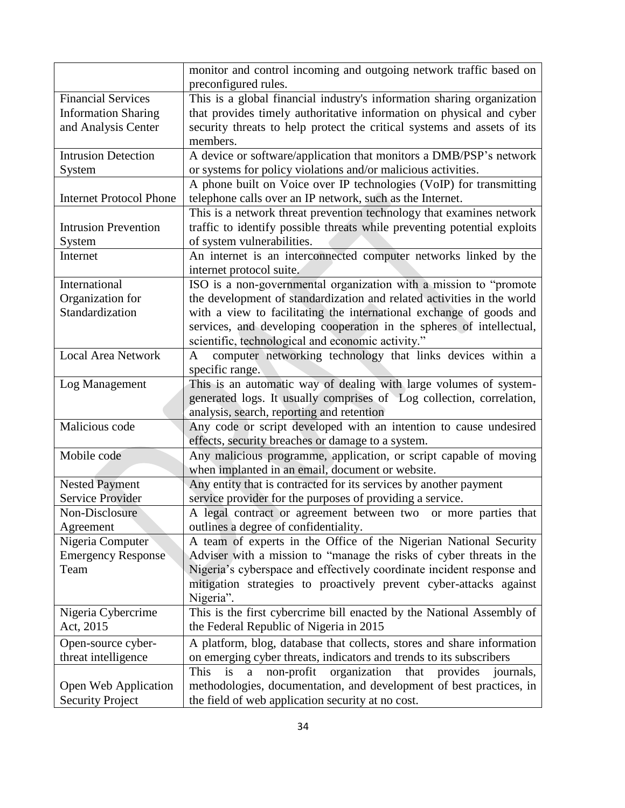|                                | monitor and control incoming and outgoing network traffic based on             |
|--------------------------------|--------------------------------------------------------------------------------|
|                                | preconfigured rules.                                                           |
| <b>Financial Services</b>      | This is a global financial industry's information sharing organization         |
| <b>Information Sharing</b>     | that provides timely authoritative information on physical and cyber           |
| and Analysis Center            | security threats to help protect the critical systems and assets of its        |
|                                | members.                                                                       |
| <b>Intrusion Detection</b>     | A device or software/application that monitors a DMB/PSP's network             |
| System                         | or systems for policy violations and/or malicious activities.                  |
|                                | A phone built on Voice over IP technologies (VoIP) for transmitting            |
| <b>Internet Protocol Phone</b> | telephone calls over an IP network, such as the Internet.                      |
|                                | This is a network threat prevention technology that examines network           |
| <b>Intrusion Prevention</b>    | traffic to identify possible threats while preventing potential exploits       |
| System                         | of system vulnerabilities.                                                     |
| Internet                       | An internet is an interconnected computer networks linked by the               |
|                                | internet protocol suite.                                                       |
| International                  | ISO is a non-governmental organization with a mission to "promote              |
| Organization for               | the development of standardization and related activities in the world         |
| Standardization                | with a view to facilitating the international exchange of goods and            |
|                                | services, and developing cooperation in the spheres of intellectual,           |
|                                | scientific, technological and economic activity."                              |
| <b>Local Area Network</b>      | computer networking technology that links devices within a<br>$\mathbf{A}$     |
|                                | specific range.                                                                |
| Log Management                 | This is an automatic way of dealing with large volumes of system-              |
|                                | generated logs. It usually comprises of Log collection, correlation,           |
|                                | analysis, search, reporting and retention                                      |
| Malicious code                 | Any code or script developed with an intention to cause undesired              |
|                                | effects, security breaches or damage to a system.                              |
| Mobile code                    | Any malicious programme, application, or script capable of moving              |
|                                | when implanted in an email, document or website.                               |
| <b>Nested Payment</b>          | Any entity that is contracted for its services by another payment              |
| <b>Service Provider</b>        | service provider for the purposes of providing a service.                      |
| Non-Disclosure                 | A legal contract or agreement between two<br>or more parties that              |
| Agreement                      | outlines a degree of confidentiality.                                          |
| Nigeria Computer               | A team of experts in the Office of the Nigerian National Security              |
| <b>Emergency Response</b>      | Adviser with a mission to "manage the risks of cyber threats in the            |
| Team                           | Nigeria's cyberspace and effectively coordinate incident response and          |
|                                | mitigation strategies to proactively prevent cyber-attacks against             |
|                                | Nigeria".                                                                      |
| Nigeria Cybercrime             | This is the first cybercrime bill enacted by the National Assembly of          |
| Act, 2015                      | the Federal Republic of Nigeria in 2015                                        |
| Open-source cyber-             | A platform, blog, database that collects, stores and share information         |
| threat intelligence            | on emerging cyber threats, indicators and trends to its subscribers            |
|                                | This<br>organization<br>provides<br>is<br>non-profit<br>that<br>journals,<br>a |
| Open Web Application           | methodologies, documentation, and development of best practices, in            |
| <b>Security Project</b>        | the field of web application security at no cost.                              |